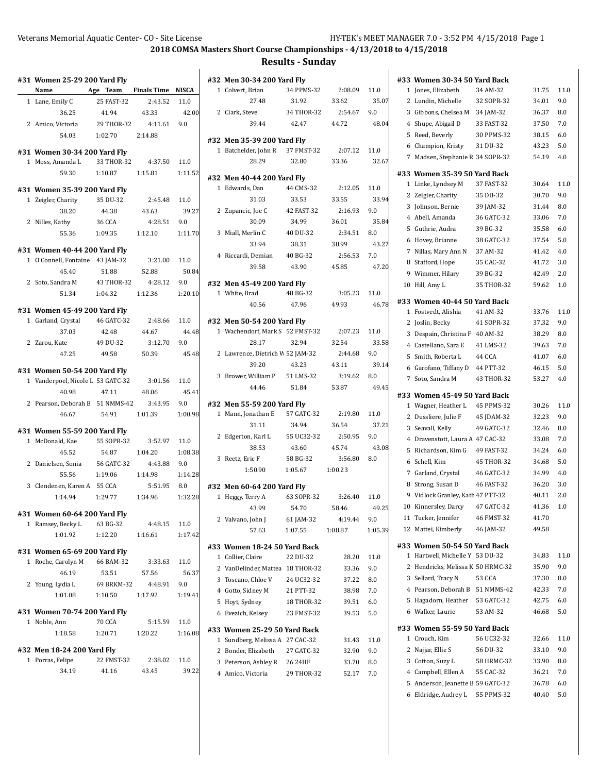## **2018 COMSA Masters Short Course Championships - 4/13/2018 to 4/15/2018 Results - Sunday**

|   | #31 Women 25-29 200 Yard Fly<br>Name | Age<br><b>Team</b> | <b>Finals Time</b> | <b>NISCA</b> |
|---|--------------------------------------|--------------------|--------------------|--------------|
|   | 1 Lane, Emily C                      | 25 FAST-32         | 2:43.52            | 11.0         |
|   | 36.25                                | 41.94              | 43.33              | 42.00        |
|   | 2 Amico, Victoria                    | 29 THOR-32         | 4:11.61            | 9.0          |
|   | 54.03                                | 1:02.70            | 2:14.88            |              |
|   | #31 Women 30-34 200 Yard Fly         |                    |                    |              |
|   | 1 Moss, Amanda L                     | 33 THOR-32 4:37.50 |                    | 11.0         |
|   | 59.30                                | 1:10.87            | 1:15.81            | 1:11.52      |
|   | #31 Women 35-39 200 Yard Fly         |                    |                    |              |
|   | 1 Zeigler, Charity                   | 35 DU-32           | 2:45.48            | 11.0         |
|   | 38.20                                | 44.38              | 43.63              | 39.27        |
|   | 2 Nilles, Kathy                      | 36 CCA             | 4:28.51            | 9.0          |
|   | 55.36                                | 1:09.35            | 1:12.10            | 1:11.70      |
|   | #31 Women 40-44 200 Yard Fly         |                    |                    |              |
|   | 1 O'Connell, Fontaine 43 JAM-32      |                    | 3:21.00            | 11.0         |
|   | 45.40                                | 51.88              | 52.88              | 50.84        |
|   | 2 Soto, Sandra M                     | 43 THOR-32         | 4:28.12            | 9.0          |
|   | 51.34                                | 1:04.32 1:12.36    |                    | 1:20.10      |
|   | #31 Women 45-49 200 Yard Fly         |                    |                    |              |
|   | 1 Garland, Crystal                   | 46 GATC-32         | 2:48.66            | 11.0         |
|   | 37.03                                | 42.48              | 44.67              | 44.48        |
|   | 2 Zarou, Kate                        | 49 DU-32           | 3:12.70            | 9.0          |
|   |                                      |                    |                    |              |
|   | 47.25                                | 49.58              | 50.39              | 45.48        |
|   | #31 Women 50-54 200 Yard Fly         |                    |                    |              |
|   | 1 Vanderpoel, Nicole L 53 GATC-32    |                    | 3:01.56            | 11.0         |
|   | 40.98                                | 47.11              | 48.06              | 45.41        |
|   | 2 Pearson, Deborah B 51 NMMS-42      |                    | 3:43.95            | 9.0          |
|   | 46.67                                | 54.91 1:01.39      |                    | 1:00.98      |
|   | #31 Women 55-59 200 Yard Fly         |                    |                    |              |
|   | 1 McDonald, Kae 55 SOPR-32           |                    | 3:52.97            | 11.0         |
|   | 45.52                                | 54.87              | 1:04.20            | 1:08.38      |
|   | 2 Danielsen, Sonia                   | 56 GATC-32         | 4:43.88            | 9.0          |
|   | 55.56                                | 1:19.06            | 1:14.98            | 1:14.28      |
|   | 3 Clendenen, Karen A 55 CCA          |                    | 5:51.95            | 8.0          |
|   | 1:14.94                              | 1:29.77            | 1:34.96            | 1:32.28      |
|   | #31 Women 60-64 200 Yard Fly         |                    |                    |              |
|   | 1 Ramsey, Becky L                    | 63 BG-32           | 4:48.15            | 11.0         |
|   | 1:01.92                              | 1:12.20            | 1:16.61            | 1:17.42      |
|   | #31 Women 65-69 200 Yard Fly         |                    |                    |              |
|   | 1 Roche, Carolyn M 66 BAM-32         |                    | 3:33.63            | 11.0         |
|   | 46.19                                | 53.51              | 57.56              | 56.37        |
|   | 2 Young, Lydia L                     | 69 BRKM-32         | 4:48.91            | 9.0          |
|   | 1:01.08                              | 1:10.50            | 1:17.92            | 1:19.41      |
|   | #31 Women 70-74 200 Yard Fly         |                    |                    |              |
|   | 1 Noble, Ann                         | 70 CCA             | 5:15.59            | 11.0         |
|   | 1:18.58                              | 1:20.71            | 1:20.22            | 1:16.08      |
|   | #32 Men 18-24 200 Yard Fly           |                    |                    |              |
| 1 | Porras, Felipe                       | 22 FMST-32         | 2:38.02            | 11.0         |
|   | 34.19                                | 41.16              | 43.45              | 39.22        |
|   |                                      |                    |                    |              |

|   | #32 Men 30-34 200 Yard Fly                   |                 |         |         |
|---|----------------------------------------------|-----------------|---------|---------|
|   | 1 Colvert, Brian                             | 34 PPMS-32      | 2:08.09 | 11.0    |
|   | 27.48                                        | 31.92           | 33.62   | 35.07   |
|   | 2 Clark, Steve                               | 34 THOR-32      | 2:54.67 | 9.0     |
|   | 39.44                                        | 42.47           | 44.72   | 48.04   |
|   | #32 Men 35-39 200 Yard Fly                   |                 |         |         |
|   | 1 Batchelder, John R                         | 37 FMST-32      | 2:07.12 | 11.0    |
|   | 28.29                                        | 32.80           | 33.36   | 32.67   |
|   |                                              |                 |         |         |
|   | #32 Men 40-44 200 Yard Fly<br>1 Edwards, Dan | 44 CMS-32       | 2:12.05 | 11.0    |
|   | 31.03                                        | 33.53           | 33.55   | 33.94   |
|   | 2 Zupancic, Joe C                            | 42 FAST-32      | 2:16.93 | 9.0     |
|   | 30.09                                        | 34.99           | 36.01   | 35.84   |
|   | 3 Miall, Merlin C                            | 40 DU-32        | 2:34.51 | 8.0     |
|   | 33.94                                        | 38.31           | 38.99   | 43.27   |
|   | 4 Riccardi, Demian                           | 40 BG-32        | 2:56.53 | 7.0     |
|   | 39.58                                        | 43.90           | 45.85   | 47.20   |
|   |                                              |                 |         |         |
|   | #32 Men 45-49 200 Yard Fly                   |                 |         |         |
|   | 1 White. Brad                                | 48 BG-32        | 3:05.23 | 11.0    |
|   | 40.56                                        | 47.96           | 49.93   | 46.78   |
|   | #32 Men 50-54 200 Yard Fly                   |                 |         |         |
|   | 1 Wachendorf, Mark S 52 FMST-32              |                 | 2:07.23 | 11.0    |
|   | 28.17                                        | 32.94           | 32.54   | 33.58   |
|   | 2 Lawrence, Dietrich V 52 JAM-32             |                 | 2:44.68 | 9.0     |
|   | 39.20                                        | 43.23           | 43.11   | 39.14   |
|   | 3 Brower, William P                          | 51 LMS-32       | 3:19.62 | 8.0     |
|   | 44.46                                        | 51.84           | 53.87   | 49.45   |
|   | #32 Men 55-59 200 Yard Fly                   |                 |         |         |
|   | 1 Mann, Jonathan E                           | 57 GATC-32      | 2:19.80 | 11.0    |
|   | 31.11                                        | 34.94           | 36.54   | 37.21   |
|   | 2 Edgerton, Karl L                           | 55 UC32-32      | 2:50.95 | 9.0     |
|   | 38.53                                        | 43.60           | 45.74   | 43.08   |
|   | 3 Reetz, Eric F                              | 58 BG-32        | 3:56.80 | 8.0     |
|   | 1:50.90                                      | 1:05.67 1:00.23 |         |         |
|   |                                              |                 |         |         |
| 1 | #32 Men 60-64 200 Yard Fly<br>Heggy, Terry A | 63 SOPR-32      | 3:26.40 | 11.0    |
|   | 43.99                                        | 54.70           | 58.46   | 49.25   |
|   | 2 Valvano, John J                            | 61 JAM-32       | 4:19.44 | 9.0     |
|   | 57.63                                        | 1:07.55         | 1:08.87 | 1:05.39 |
|   |                                              |                 |         |         |
|   | #33 Women 18-24 50 Yard Back                 |                 |         |         |
|   |                                              | 22 DU-32        | 28.20   | 11.0    |
|   | 1 Collier, Claire                            |                 |         |         |
|   | 2 VanDelinder, Mattea 18 THOR-32             |                 | 33.36   | 9.0     |
|   | 3 Toscano, Chloe V                           | 24 UC32-32      | 37.22   | 8.0     |
|   | 4 Gotto, Sidney M                            | 21 PTT-32       | 38.98   | 7.0     |
|   | 5 Hoyt, Sydney                               | 18 THOR-32      | 39.51   | 6.0     |
|   | 6 Evezich, Kelsey                            | 23 FMST-32      | 39.53   | 5.0     |
|   | #33 Women 25-29 50 Yard Back                 |                 |         |         |
|   | 1 Sundberg, Melissa A 27 CAC-32              |                 | 31.43   | 11.0    |
|   | 2 Bonder, Elizabeth                          | 27 GATC-32      | 32.90   | 9.0     |
|   | 3 Peterson, Ashley R                         | 26 24HF         | 33.70   | 8.0     |

|    | #33 Women 30-34 50 Yard Back                          |            |       |          |
|----|-------------------------------------------------------|------------|-------|----------|
| 1  | Jones, Elizabeth                                      | 34 AM-32   | 31.75 | 11.0     |
| 2  | Lundin, Michelle                                      | 32 SOPR-32 | 34.01 | 9.0      |
| 3  | Gibbons, Chelsea M                                    | 34 JAM-32  | 36.37 | 8.0      |
| 4  | Shupe, Abigail D                                      | 33 FAST-32 | 37.50 | 7.0      |
| 5  | Reed, Beverly                                         | 30 PPMS-32 | 38.15 | 6.0      |
|    | 6 Champion, Kristy                                    | 31 DU-32   | 43.23 | 5.0      |
| 7  | Madsen, Stephanie R 34 SOPR-32                        |            | 54.19 | 4.0      |
|    |                                                       |            |       |          |
| 1  | #33  Women 35-39 50 Yard Back<br>Linke, Lyndsey M     | 37 FAST-32 | 30.64 | 11.0     |
| 2  | Zeigler, Charity                                      | 35 DU-32   | 30.70 | 9.0      |
| 3  | Johnson, Bernie                                       | 39 JAM-32  | 31.44 | 8.0      |
| 4  | Abell, Amanda                                         | 36 GATC-32 | 33.06 | 7.0      |
| 5  | Guthrie, Audra                                        | 39 BG-32   | 35.58 | 6.0      |
| 6  | Hovey, Brianne                                        | 38 GATC-32 | 37.54 | 5.0      |
| 7  | Nillas, Mary Ann N                                    | 37 AM-32   | 41.42 | 4.0      |
| 8  | Stafford, Hope                                        | 35 CAC-32  | 41.72 | 3.0      |
| 9  | Wimmer, Hilary                                        | 39 BG-32   | 42.49 | 2.0      |
| 10 | Hill, Amy L                                           | 35 THOR-32 | 59.62 | 1.0      |
|    |                                                       |            |       |          |
|    | #33 Women 40-44 50 Yard Back                          |            |       |          |
| 1  | Fostvedt, Alishia                                     | 41 AM-32   | 33.76 | 11.0     |
| 2  | Joslin, Becky                                         | 41 SOPR-32 | 37.32 | 9.0      |
| 3  | Despain, Christina F 40 AM-32                         |            | 38.29 | 8.0      |
| 4  | Castellano, Sara E                                    | 41 LMS-32  | 39.63 | 7.0      |
| 5  | Smith, Roberta L                                      | 44 CCA     | 41.07 | 6.0      |
| 6  | Garofano, Tiffany D                                   | 44 PTT-32  | 46.15 | 5.0      |
| 7  | Soto, Sandra M                                        | 43 THOR-32 | 53.27 | 4.0      |
|    |                                                       |            |       |          |
|    | #33  Women 45-49 50 Yard Back                         |            |       |          |
| 1  | Wagner, Heather L                                     | 45 PPMS-32 | 30.26 | 11.0     |
| 2  | Dussliere, Julie F                                    | 45 JDAM-32 | 32.23 | 9.0      |
| 3  | Seavall, Kelly                                        | 49 GATC-32 | 32.46 | 8.0      |
| 4  | Dravenstott, Laura A 47 CAC-32                        |            | 33.08 | 7.0      |
| 5  | Richardson, Kim G                                     | 49 FAST-32 | 34.24 | 6.0      |
| 6  | Schell, Kim                                           | 45 THOR-32 | 34.68 | 5.0      |
| 7  | Garland, Crystal                                      | 46 GATC-32 | 34.99 | 4.0      |
| 8  | Strong, Susan D                                       | 46 FAST-32 | 36.20 | 3.0      |
| 9  | Vidlock Granley, Katl 47 PTT-32                       |            | 40.11 | 2.0      |
| 10 | Kinnersley, Darcy                                     | 47 GATC-32 | 41.36 | 1.0      |
| 11 | Tucker, Jennifer                                      | 46 FMST-32 | 41.70 |          |
| 12 | Mattei, Kimberly                                      | 46 JAM-32  | 49.58 |          |
|    |                                                       |            |       |          |
|    | #33 Women 50-54 50 Yard Back                          |            |       |          |
| 1  | Hartwell, Michelle Y 53 DU-32                         |            | 34.83 | 11.0     |
|    | 2 Hendricks, Melissa K 50 HRMC-32                     |            | 35.90 | 9.0      |
|    | 3 Sellard, Tracy N                                    | 53 CCA     | 37.30 | 8.0      |
|    | 4 Pearson, Deborah B                                  | 51 NMMS-42 | 42.33 | 7.0      |
| 5  | Hagadorn, Heather                                     | 53 GATC-32 | 42.75 | 6.0      |
| 6  | Walker, Laurie                                        | 53 AM-32   | 46.68 | 5.0      |
|    | #33  Women 55-59 50 Yard Back                         |            |       |          |
| 1  | Crouch, Kim                                           | 56 UC32-32 | 32.66 | 11.0     |
| 2  | Najjar, Ellie S                                       | 56 DU-32   | 33.10 | 9.0      |
|    | 3 Cotton, Suzy L                                      | 58 HRMC-32 | 33.90 | $_{8.0}$ |
|    | 4 Campbell, Ellen A                                   | 55 CAC-32  | 36.21 | 7.0      |
| 5  | Anderson, Jeanette B 59 GATC-32<br>Eldridge, Audrey L |            | 36.78 | 6.0      |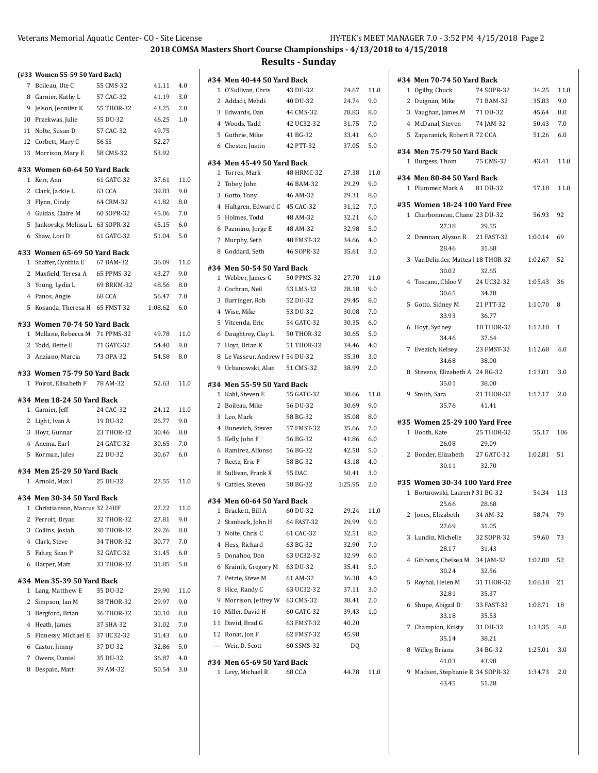### **2018 COMSA Masters Short Course Championships - 4/13/2018 to 4/15/2018 Results - Sunday**

|             |                                             |            | 2018 COM |      |
|-------------|---------------------------------------------|------------|----------|------|
|             | (#33 Women 55-59 50 Yard Back)              |            |          |      |
| 7           | Boileau, Ute C                              | 55 CMS-32  | 41.11    | 4.0  |
|             | 8 Garnier, Kathy L                          | 57 CAC-32  | 41.19    | 3.0  |
|             | 9 Jelson, Jennifer K                        | 55 THOR-32 | 43.25    | 2.0  |
|             | 10 Przekwas, Julie                          | 55 DU-32   | 46.25    | 1.0  |
|             | 11 Nolte, Susan D                           | 57 CAC-32  | 49.75    |      |
|             | 12 Corbett, Mary C                          | 56 SS      | 52.27    |      |
|             | 13 Morrison, Mary E                         | 58 CMS-32  | 53.92    |      |
|             | #33 Women 60-64 50 Yard Back                |            |          |      |
| 1           | Kerr, Ann                                   | 61 GATC-32 | 37.61    | 11(  |
|             | 2   Clark, Jackie L                         | 63 CCA     | 39.83    | 9.0  |
|             | 3 Flynn, Cindy                              | 64 CRM-32  | 41.82    | 8.0  |
|             | 4 Guidas, Claire M                          | 60 SOPR-32 | 45.06    | 7.0  |
|             | 5 Jankovsky, Melissa L 63 SOPR-32           |            | 45.15    | 6.0  |
|             | 6 Shaw, Lori D                              | 61 GATC-32 | 51.04    | 5.0  |
|             | #33 Women 65-69 50 Yard Back                |            |          |      |
|             | 1 Shaffer, Cynthia E                        | 67 BAM-32  | 36.09    | 11.0 |
|             | 2 Maxfield, Teresa A                        | 65 PPMS-32 | 43.27    | 9.0  |
|             | 3 Young, Lydia L                            | 69 BRKM-32 | 48.56    | 8.0  |
|             | 4 Panos, Angie                              | 68 CCA     | 56.47    | 7.0  |
|             | 5 Kosanda, Theresa H 65 FMST-32             |            | 1:08.62  | 6.0  |
|             | #33 Women 70-74 50 Yard Back                |            |          |      |
|             | 1 Mullane, Rebecca M 71 PPMS-32             |            | 49.78    | 11(  |
|             | 2 Todd, Bette E                             | 71 GATC-32 | 54.40    | 9.0  |
|             | 3 Anziano, Marcia                           | 73 OPA-32  | 54.58    | 8.0  |
|             | #33 Women 75-79 50 Yard Back                |            |          |      |
|             | 1 Poirot, Elisabeth F 78 AM-32              |            | 52.63    | 11(  |
|             | #34 Men 18-24 50 Yard Back                  |            |          |      |
|             | 1 Garnier, Jeff                             | 24 CAC-32  | 24.12    | 11.0 |
|             | 2 Light, Ivan A                             | 19 DU-32   | 26.77    | 9.0  |
|             | 3 Hoyt, Gunnar                              | 23 THOR-32 | 30.46    | 8.0  |
|             | 4 Anema, Earl                               | 24 GATC-32 | 30.65    | 7.0  |
|             | 5 Korman, Jules                             | 22 DU-32   | 30.67    | 6.0  |
| 1           | #34 Men 25-29 50 Yard Back<br>Arnold, Max I | 25 DU-32   | 27.55    | 11.0 |
|             | #34 Men 30-34 50 Yard Back                  |            |          |      |
|             | 1 Christianson, Marcus 32 24HF              |            | 27.22    | 11(  |
| 2           | Perrott, Bryan                              | 32 THOR-32 | 27.81    | 9.0  |
|             | 3 Collins, Josiah                           | 30 THOR-32 | 29.26    | 8.0  |
|             | 4 Clark, Steve                              | 34 THOR-32 | 30.77    | 7.0  |
|             | 5 Fahey, Sean P                             | 32 GATC-32 | 31.45    | 6.0  |
|             | 6 Harper, Matt                              | 33 THOR-32 | 31.85    | 5.0  |
|             | #34 Men 35-39 50 Yard Back                  |            |          |      |
| $\mathbf 1$ | Lang, Matthew E                             | 35 DU-32   | 29.90    | 11(  |
| 2           | Simpson, Ian M                              | 38 THOR-32 | 29.97    | 9.0  |
| 3           | Bergford, Brian                             | 36 THOR-32 | 30.10    | 8.0  |
|             | 4 Heath, James                              | 37 SHA-32  | 31.02    | 7.0  |
| 5           | Finnessy, Michael E                         | 37 UC32-32 | 31.43    | 6.0  |
|             | 6 Castor, Jimmy                             | 37 DU-32   | 32.86    | 5.0  |
|             | 7 Owens, Daniel                             | 35 DU-32   | 36.87    | 4.0  |
|             | 8 Despain, Matt                             | 39 AM-32   | 50.54    | 3.0  |

|               |    | #34 Men 40-44 50 Yard Back      |            |         |         |
|---------------|----|---------------------------------|------------|---------|---------|
|               |    | 1 O'Sullivan, Chris             | 43 DU-32   | 24.67   | 11.0    |
|               |    | 2 Addadi, Mehdi                 | 40 DU-32   | 24.74   | 9.0     |
|               |    | 3 Edwards, Dan                  | 44 CMS-32  | 28.83   | 8.0     |
|               |    | 4 Woods, Tadd                   | 42 UC32-32 | 31.75   | 7.0     |
|               |    | 5 Guthrie, Mike                 | 41 BG-32   | 33.41   | 6.0     |
|               |    | 6 Chester, Justin               | 42 PTT-32  | 37.05   | 5.0     |
|               |    | #34 Men 45-49 50 Yard Back      |            |         |         |
| $\mathfrak z$ | 1  | Torres, Mark                    | 48 HRMC-32 | 27.38   | 11.0    |
|               | 2  | Tobey, John                     | 46 BAM-32  | 29.29   | 9.0     |
|               |    | 3 Gotto, Tony                   | 46 AM-32   | 29.31   | 8.0     |
|               |    | 4 Hultgren, Edward C 45 CAC-32  |            | 31.12   | 7.0     |
|               |    | 5 Holmes, Todd                  | 48 AM-32   | 32.21   | 6.0     |
|               |    | 6 Pazmino, Jorge E              | 48 AM-32   | 32.98   | 5.0     |
|               |    | 7 Murphy, Seth                  | 48 FMST-32 | 34.66   | 4.0     |
|               |    | 8 Goddard, Seth                 | 46 SOPR-32 | 35.61   | 3.0     |
| $\mathfrak z$ |    | #34 Men 50-54 50 Yard Back      |            |         |         |
|               |    | 1 Webber, James G 50 PPMS-32    |            | 27.70   | 11.0    |
|               |    | 2 Cochran, Neil                 | 53 LMS-32  | 28.18   | 9.0     |
|               |    | 3 Barringer, Rob                | 52 DU-32   | 29.45   | 8.0     |
|               |    | 4 Wise, Mike                    | 53 DU-32   | 30.08   | $7.0\,$ |
|               |    | 5 Vitcenda, Eric                | 54 GATC-32 | 30.35   | 6.0     |
| )             |    | 6 Daughtrey, Clay L             | 50 THOR-32 | 30.65   | 5.0     |
|               |    | 7 Hoyt, Brian K                 | 51 THOR-32 | 34.46   | 4.0     |
|               |    | 8 Le Vasseur, Andrew F 54 DU-32 |            | 35.30   | 3.0     |
|               |    | 9 Urbanowski, Alan              | 51 CMS-32  | 38.99   | 2.0     |
| )             |    | #34 Men 55-59 50 Yard Back      |            |         |         |
|               |    | 1 Kahl, Steven E                | 55 GATC-32 | 30.66   | 11.0    |
| J             |    | 2 Boileau, Mike                 | 56 DU-32   | 30.69   | 9.0     |
|               |    | 3 Leo, Mark                     | 58 BG-32   | 35.08   | 8.0     |
|               |    | 4 Bunevich, Steven              | 57 FMST-32 | 35.66   | 7.0     |
|               |    | 5 Kelly, John F                 | 56 BG-32   | 41.86   | 6.0     |
|               |    | 6 Ramirez, Alfonso              | 56 BG-32   | 42.58   | 5.0     |
|               |    | 7 Reetz, Eric F                 | 58 BG-32   | 43.18   | 4.0     |
|               | 8  | Sullivan, Frank X               | 55 DAC     | 50.41   | 3.0     |
| $\mathfrak z$ |    | 9 Cattles, Steven               | 58 BG-32   | 1:25.95 | 2.0     |
|               |    | #34 Men 60-64 50 Yard Back      |            |         |         |
| $\mathfrak z$ | 1  | Brackett, Bill A                | 60 DU-32   | 29.24   | 11.0    |
|               | 2  | Stanback, John H                | 64 FAST-32 | 29.99   | 9.0     |
|               |    | 3 Nolte, Chris C                | 61 CAC-32  | 32.51   | 8.0     |
|               |    | 4 Hess, Richard                 | 63 BG-32   | 32.90   | 7.0     |
|               |    | 5 Donahoo, Don                  | 63 UC32-32 | 32.99   | 6.0     |
|               |    | 6 Krainik, Gregory M            | 63 DU-32   | 35.41   | 5.0     |
|               | 7  | Petrie, Steve M                 | 61 AM-32   | 36.38   | 4.0     |
| )             | 8  | Hice, Randy C                   | 63 UC32-32 | 37.11   | 3.0     |
|               | 9  | Morrison, Jeffrey W 63 CMS-32   |            | 38.41   | 2.0     |
|               | 10 | Miller, David H                 | 60 GATC-32 | 39.43   | 1.0     |
|               | 11 | David, Brad G                   | 63 FMST-32 | 40.20   |         |
|               |    | 12 Ronat, Jon F                 | 62 FMST-32 | 45.98   |         |
|               |    | --- Weir, D. Scott              | 60 SSMS-32 | DQ      |         |
|               |    | #34 Men 65-69 50 Yard Back      |            |         |         |
|               |    | 1 Levy, Michael R               | 68 CCA     | 44.78   | 11.0    |
|               |    |                                 |            |         |         |

|              | #34 Men 70-74 50 Yard Back              |                     |         |      |
|--------------|-----------------------------------------|---------------------|---------|------|
| $\mathbf{1}$ | Ogilby, Chuck                           | 74 SOPR-32          | 34.25   | 11.0 |
| 2            | Duignan, Mike                           | 71 BAM-32           | 35.83   | 9.0  |
|              | 3 Vaughan, James M                      | 71 DU-32            | 45.64   | 8.0  |
|              | 4 McDanal. Steven                       | 74 JAM-32           | 50.43   | 7.0  |
|              | 5 Zaparanick, Robert R 72 CCA           |                     | 51.26   | 6.0  |
|              | #34 Men 75-79 50 Yard Back              |                     |         |      |
|              | 1 Burgess, Thom                         | 75 CMS-32           | 43.41   | 11.0 |
|              | #34 Men 80-84 50 Yard Back              |                     |         |      |
|              | 1 Plummer, Mark A                       | 81 DU-32            | 57.18   | 11.0 |
|              | #35 Women 18-24 100 Yard Free           |                     |         |      |
|              | 1 Charbonneau, Chane 23 DU-32           |                     | 56.93   | 92   |
|              | 27.38                                   | 29.55               |         |      |
| 2            | Drennan, Alyson R                       | 21 FAST-32          | 1:00.14 | 69   |
|              | 28.46                                   | 31.68               |         |      |
|              | 3 VanDelinder, Mattea 18 THOR-32        |                     | 1:02.67 | 52   |
|              | 30.02                                   | 32.65               |         |      |
| 4            | Toscano, Chloe V                        | 24 UC32-32          | 1:05.43 | 36   |
|              | 30.65                                   | 34.78               |         |      |
| 5            | Gotto, Sidney M                         | 21 PTT-32           | 1:10.70 | 8    |
|              | 33.93                                   | 36.77               |         |      |
| 6            | Hoyt, Sydney                            | 18 THOR-32          | 1:12.10 | 1    |
|              | 34.46                                   | 37.64               |         |      |
| 7            | Evezich, Kelsey                         | 23 FMST-32          | 1:12.68 | 4.0  |
|              | 34.68                                   | 38.00               |         |      |
| 8            | Stevens, Elizabeth A 24 BG-32           |                     | 1:13.01 | 3.0  |
|              | 35.01                                   | 38.00               |         |      |
|              | 9 Smith, Sara<br>35.76                  | 21 THOR-32          | 1:17.17 | 2.0  |
|              |                                         | 41.41               |         |      |
|              | #35 Women 25-29 100 Yard Free           |                     |         |      |
|              | 1 Booth, Kate                           | 25 THOR-32          | 55.17   | 106  |
|              | 26.08                                   | 29.09               |         |      |
|              | 2 Bonder, Elizabeth 27 GATC-32<br>30.11 | 32.70               | 1:02.81 | 51   |
|              |                                         |                     |         |      |
|              | #35 Women 30-34 100 Yard Free           |                     |         |      |
| 1            | Bortnowski, Lauren 1 31 BG-32           |                     | 54.34   | 113  |
|              | 25.66                                   | 28.68               |         |      |
|              | 2 Jones, Elizabeth                      | 34 AM-32            | 58.74   | 79   |
|              | 27.69                                   | 31.05               |         |      |
| 3            | Lundin, Michelle<br>28.17               | 32 SOPR-32<br>31.43 | 59.60   | 73   |
|              | 4 Gibbons, Chelsea M                    | 34 JAM-32           | 1:02.80 | 52   |
|              | 30.24                                   | 32.56               |         |      |
| 5            | Roybal, Helen M                         | 31 THOR-32          | 1:08.18 | 21   |
|              | 32.81                                   | 35.37               |         |      |
| 6            | Shupe, Abigail D                        | 33 FAST-32          | 1:08.71 | 18   |
|              | 33.18                                   | 35.53               |         |      |
| 7            | Champion, Kristy                        | 31 DU-32            | 1:13.35 | 4.0  |
|              | 35.14                                   | 38.21               |         |      |
|              | 8 Willey, Briana                        | 34 BG-32            | 1:25.01 | 3.0  |
|              | 41.03                                   | 43.98               |         |      |
| 9            | Madsen, Stephanie R 34 SOPR-32          |                     | 1:34.73 | 2.0  |
|              | 43.45                                   | 51.28               |         |      |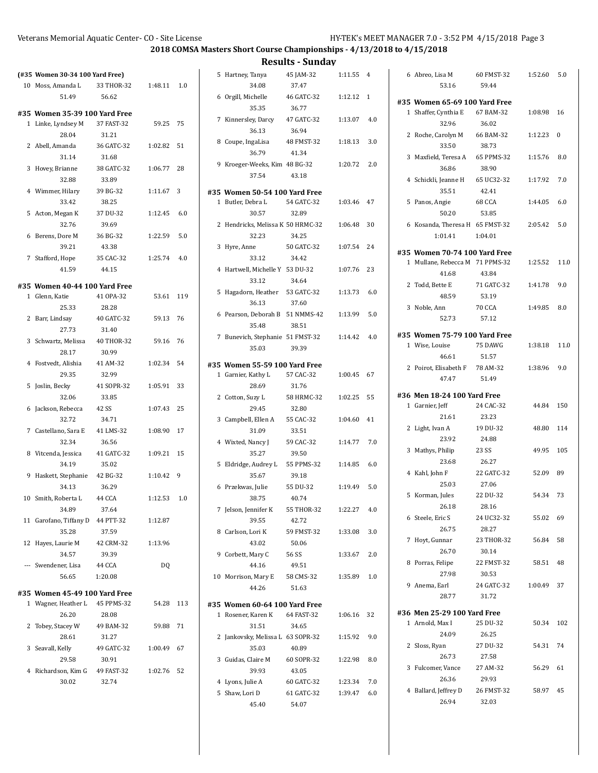| (#35 Women 30-34 100 Yard Free)  |            |               |     | 5 Hartney, Tanya                  | 45 JAM-32           | 1:11.55 4     |     | 6 Abreo, Lisa M                 | 60 FMST-32         | 1:52.60 5.0  |     |
|----------------------------------|------------|---------------|-----|-----------------------------------|---------------------|---------------|-----|---------------------------------|--------------------|--------------|-----|
| 10 Moss, Amanda L                | 33 THOR-32 | 1:48.11 1.0   |     | 34.08                             | 37.47               |               |     | 53.16                           | 59.44              |              |     |
| 51.49                            | 56.62      |               |     | 6 Orgill, Michelle                | 46 GATC-32          | 1:12.12 1     |     |                                 |                    |              |     |
|                                  |            |               |     | 35.35                             | 36.77               |               |     | #35 Women 65-69 100 Yard Free   |                    | 1:08.98 16   |     |
| #35 Women 35-39 100 Yard Free    |            |               |     | 7 Kinnersley, Darcy               | 47 GATC-32          | 1:13.07 4.0   |     | 1 Shaffer, Cynthia E<br>32.96   | 67 BAM-32<br>36.02 |              |     |
| 1 Linke, Lyndsey M               | 37 FAST-32 | 59.25 75      |     | 36.13                             | 36.94               |               |     |                                 |                    |              |     |
| 28.04                            | 31.21      |               |     | 8 Coupe, IngaLisa                 | 48 FMST-32          | $1:18.13$ 3.0 |     | 2 Roche, Carolyn M              | 66 BAM-32          | $1:12.23$ 0  |     |
| 2 Abell, Amanda                  | 36 GATC-32 | 1:02.82 51    |     | 36.79                             | 41.34               |               |     | 33.50                           | 38.73              |              |     |
| 31.14                            | 31.68      |               |     | 9 Kroeger-Weeks, Kim 48 BG-32     |                     | 1:20.72 2.0   |     | 3 Maxfield, Teresa A            | 65 PPMS-32         | 1:15.76 8.0  |     |
| 3 Hovey, Brianne                 | 38 GATC-32 | 1:06.77 28    |     | 37.54                             | 43.18               |               |     | 36.86                           | 38.90              |              |     |
| 32.88                            | 33.89      |               |     |                                   |                     |               |     | 4 Schickli, Jeanne H            | 65 UC32-32         | 1:17.92 7.0  |     |
| 4 Wimmer, Hilary                 | 39 BG-32   | 1:11.67 3     |     | #35 Women 50-54 100 Yard Free     |                     |               |     | 35.51                           | 42.41              |              |     |
| 33.42                            | 38.25      |               |     | 1 Butler, Debra L                 | 54 GATC-32          | 1:03.46 47    |     | 5 Panos, Angie                  | 68 CCA             | 1:44.05 6.0  |     |
| 5 Acton, Megan K                 | 37 DU-32   | $1:12.45$ 6.0 |     | 30.57                             | 32.89               |               |     | 50.20                           | 53.85              |              |     |
| 32.76                            | 39.69      |               |     | 2 Hendricks, Melissa K 50 HRMC-32 |                     | 1:06.48 30    |     | 6 Kosanda, Theresa H 65 FMST-32 |                    | 2:05.42 5.0  |     |
| 6 Berens, Dore M                 | 36 BG-32   | 1:22.59       | 5.0 | 32.23                             | 34.25               |               |     | 1:01.41                         | 1:04.01            |              |     |
| 39.21                            | 43.38      |               |     | 3 Hyre, Anne                      | 50 GATC-32          | 1:07.54 24    |     | #35 Women 70-74 100 Yard Free   |                    |              |     |
| 7 Stafford, Hope                 | 35 CAC-32  | 1:25.74 4.0   |     | 33.12                             | 34.42               |               |     | 1 Mullane, Rebecca M 71 PPMS-32 |                    | 1:25.52 11.0 |     |
| 41.59                            | 44.15      |               |     | 4 Hartwell, Michelle Y 53 DU-32   |                     | 1:07.76 23    |     | 41.68                           | 43.84              |              |     |
|                                  |            |               |     | 33.12                             | 34.64               |               |     |                                 | 71 GATC-32         |              |     |
| #35 Women 40-44 100 Yard Free    |            |               |     | 5 Hagadorn, Heather               | 53 GATC-32          | 1:13.73 6.0   |     | 2 Todd, Bette E                 |                    | 1:41.78      | 9.0 |
| 1 Glenn, Katie                   | 41 OPA-32  | 53.61 119     |     | 36.13                             | 37.60               |               |     | 48.59                           | 53.19              |              |     |
| 25.33                            | 28.28      |               |     | 6 Pearson, Deborah B 51 NMMS-42   |                     | 1:13.99 5.0   |     | 3 Noble, Ann                    | <b>70 CCA</b>      | 1:49.85 8.0  |     |
| 2 Barr, Lindsay                  | 40 GATC-32 | 59.13 76      |     | 35.48                             | 38.51               |               |     | 52.73                           | 57.12              |              |     |
| 27.73                            | 31.40      |               |     | 7 Bunevich, Stephanie 51 FMST-32  |                     | 1:14.42 4.0   |     | #35 Women 75-79 100 Yard Free   |                    |              |     |
| 3 Schwartz, Melissa              | 40 THOR-32 | 59.16 76      |     | 35.03                             | 39.39               |               |     | 1 Wise, Louise                  | 75 DAWG            | 1:38.18 11.0 |     |
| 28.17                            | 30.99      |               |     |                                   |                     |               |     | 46.61                           | 51.57              |              |     |
| 4 Fostvedt, Alishia              | 41 AM-32   | 1:02.34 54    |     | #35 Women 55-59 100 Yard Free     |                     |               |     | 2 Poirot, Elisabeth F           | 78 AM-32           | 1:38.96 9.0  |     |
| 29.35                            | 32.99      |               |     | 1 Garnier, Kathy L                | 57 CAC-32           | 1:00.45 67    |     | 47.47                           | 51.49              |              |     |
| 5 Joslin, Becky                  | 41 SOPR-32 | 1:05.91 33    |     | 28.69                             | 31.76               |               |     |                                 |                    |              |     |
| 32.06                            | 33.85      |               |     | 2 Cotton, Suzy L                  | 58 HRMC-32          | 1:02.25 55    |     | #36 Men 18-24 100 Yard Free     |                    |              |     |
| 6 Jackson, Rebecca               | 42 SS      | 1:07.43 25    |     | 29.45                             | 32.80               |               |     | 1 Garnier, Jeff                 | 24 CAC-32          | 44.84 150    |     |
| 32.72                            | 34.71      |               |     | 3 Campbell, Ellen A               | 55 CAC-32           | 1:04.60 41    |     | 21.61                           | 23.23              |              |     |
| 7 Castellano, Sara E             | 41 LMS-32  | 1:08.90 17    |     | 31.09                             | 33.51               |               |     | 2 Light, Ivan A                 | 19 DU-32           | 48.80 114    |     |
| 32.34                            | 36.56      |               |     | 4 Wixted, Nancy J                 | 59 CAC-32           | 1:14.77 7.0   |     | 23.92                           | 24.88              |              |     |
| 8 Vitcenda, Jessica              | 41 GATC-32 | 1:09.21 15    |     | 35.27                             | 39.50               |               |     | 3 Mathys, Philip                | 23 SS              | 49.95 105    |     |
| 34.19                            | 35.02      |               |     | 5 Eldridge, Audrey L              | 55 PPMS-32          | 1:14.85       | 6.0 | 23.68                           | 26.27              |              |     |
| 9 Haskett, Stephanie             | 42 BG-32   | 1:10.42 9     |     | 35.67                             | 39.18               |               |     | 4 Kahl, John F                  | 22 GATC-32         | 52.09 89     |     |
| 34.13                            | 36.29      |               |     | 6 Przekwas, Julie                 | 55 DU-32            | 1:19.49 5.0   |     | 25.03                           | 27.06              |              |     |
| 10 Smith, Roberta L              | 44 CCA     | $1:12.53$ 1.0 |     | 38.75                             | 40.74               |               |     | 5 Korman, Jules                 | 22 DU-32           | 54.34 73     |     |
| 34.89                            | 37.64      |               |     | 7 Jelson, Jennifer K              | 55 THOR-32          | 1:22.27 4.0   |     | 26.18                           | 28.16              |              |     |
| 11 Garofano, Tiffany D 44 PTT-32 |            | 1:12.87       |     | 39.55                             | 42.72               |               |     | 6 Steele, Eric S                | 24 UC32-32         | 55.02 69     |     |
| 35.28                            | 37.59      |               |     | 8 Carlson, Lori K                 | 59 FMST-32          | 1:33.08 3.0   |     | 26.75                           | 28.27              |              |     |
| 12 Hayes, Laurie M               | 42 CRM-32  |               |     | 43.02                             | 50.06               |               |     | 7 Hoyt, Gunnar                  | 23 THOR-32         | 56.84 58     |     |
|                                  |            |               |     |                                   |                     |               |     |                                 | 30.14              |              |     |
|                                  |            | 1:13.96       |     |                                   |                     |               |     | 26.70                           |                    |              |     |
| 34.57                            | 39.39      |               |     | 9 Corbett, Mary C                 | 56 SS               | 1:33.67 2.0   |     |                                 | 22 FMST-32         |              |     |
| --- Swendener, Lisa              | 44 CCA     | DQ            |     | 44.16                             | 49.51               |               |     | 8 Porras, Felipe                |                    | 58.51 48     |     |
| 56.65                            | 1:20.08    |               |     | 10 Morrison, Mary E               | 58 CMS-32           | 1:35.89 1.0   |     | 27.98                           | 30.53              |              |     |
| #35 Women 45-49 100 Yard Free    |            |               |     | 44.26                             | 51.63               |               |     | 9 Anema, Earl                   | 24 GATC-32         | 1:00.49 37   |     |
| 1 Wagner, Heather L              | 45 PPMS-32 | 54.28 113     |     | #35 Women 60-64 100 Yard Free     |                     |               |     | 28.77                           | 31.72              |              |     |
| 26.20                            | 28.08      |               |     | 1 Rosener, Karen K                | 64 FAST-32          | 1:06.16 32    |     | #36 Men 25-29 100 Yard Free     |                    |              |     |
| 2 Tobey, Stacey W                | 49 BAM-32  | 59.88 71      |     | 31.51                             | 34.65               |               |     | 1 Arnold, Max I                 | 25 DU-32           | 50.34 102    |     |
| 28.61                            | 31.27      |               |     | 2 Jankovsky, Melissa L 63 SOPR-32 |                     | 1:15.92 9.0   |     | 24.09                           | 26.25              |              |     |
| 3 Seavall, Kelly                 | 49 GATC-32 | 1:00.49 67    |     | 35.03                             | 40.89               |               |     | 2 Sloss, Ryan                   | 27 DU-32           | 54.31 74     |     |
| 29.58                            | 30.91      |               |     | 3 Guidas, Claire M                | 60 SOPR-32          | 1:22.98 8.0   |     | 26.73                           | 27.58              |              |     |
| 4 Richardson, Kim G              | 49 FAST-32 |               |     | 39.93                             |                     |               |     | 3 Fulcomer, Vance               | 27 AM-32           | 56.29 61     |     |
|                                  |            | 1:02.76 52    |     |                                   | 43.05               |               |     | 26.36                           | 29.93              |              |     |
| 30.02                            | 32.74      |               |     | 4 Lyons, Julie A                  | 60 GATC-32          | 1:23.34       | 7.0 | 4 Ballard, Jeffrey D            | 26 FMST-32         | 58.97 45     |     |
|                                  |            |               |     | 5 Shaw, Lori D<br>45.40           | 61 GATC-32<br>54.07 | 1:39.47 6.0   |     | 26.94                           | 32.03              |              |     |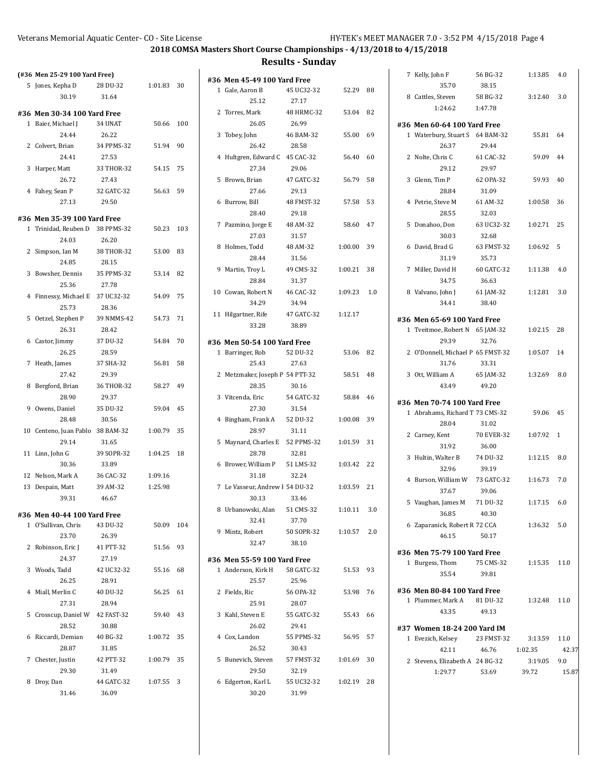42.37

15.87

# **2018 COMSA Masters Short Course Championships - 4/13/2018 to 4/15/2018**

| (#36 Men 25-29 100 Yard Free)    |            |            |  |                                                |            |               |  | 7 Kelly, John F                   | 56 BG-32   | 1:13.85 4.0   |     |
|----------------------------------|------------|------------|--|------------------------------------------------|------------|---------------|--|-----------------------------------|------------|---------------|-----|
| 5 Jones, Kepha D                 | 28 DU-32   | 1:01.83 30 |  | #36 Men 45-49 100 Yard Free<br>1 Gale, Aaron B | 45 UC32-32 | 52.29 88      |  | 35.70                             | 38.15      |               |     |
| 30.19                            | 31.64      |            |  |                                                |            |               |  | 8 Cattles, Steven                 | 58 BG-32   | $3:12.40$ 3.0 |     |
|                                  |            |            |  | 25.12                                          | 27.17      |               |  | 1:24.62                           | 1:47.78    |               |     |
| #36 Men 30-34 100 Yard Free      |            |            |  | 2 Torres, Mark                                 | 48 HRMC-32 | 53.04 82      |  |                                   |            |               |     |
| 1 Baier, Michael J               | 34 UNAT    | 50.66 100  |  | 26.05                                          | 26.99      |               |  | #36 Men 60-64 100 Yard Free       |            |               |     |
| 24.44                            | 26.22      |            |  | 3 Tobey, John                                  | 46 BAM-32  | 55.00 69      |  | 1 Waterbury, Stuart S 64 BAM-32   |            | 55.81 64      |     |
| 2 Colvert, Brian                 | 34 PPMS-32 | 51.94 90   |  | 26.42                                          | 28.58      |               |  | 26.37                             | 29.44      |               |     |
| 24.41                            | 27.53      |            |  | 4 Hultgren, Edward C 45 CAC-32                 |            | 56.40 60      |  | 2 Nolte, Chris C                  | 61 CAC-32  | 59.09 44      |     |
| 3 Harper, Matt                   | 33 THOR-32 | 54.15 75   |  | 27.34                                          | 29.06      |               |  | 29.12                             | 29.97      |               |     |
| 26.72                            | 27.43      |            |  | 5 Brown, Brian                                 | 47 GATC-32 | 56.79 58      |  | 3 Glenn, Tim P                    | 62 OPA-32  | 59.93 40      |     |
| 4 Fahey, Sean P                  | 32 GATC-32 | 56.63 59   |  | 27.66                                          | 29.13      |               |  | 28.84                             | 31.09      |               |     |
| 27.13                            | 29.50      |            |  | 6 Burrow, Bill                                 | 48 FMST-32 | 57.58 53      |  | 4 Petrie, Steve M                 | 61 AM-32   | 1:00.58 36    |     |
|                                  |            |            |  | 28.40                                          | 29.18      |               |  | 28.55                             | 32.03      |               |     |
| #36 Men 35-39 100 Yard Free      |            |            |  | 7 Pazmino, Jorge E                             | 48 AM-32   | 58.60 47      |  | 5 Donahoo, Don                    | 63 UC32-32 | 1:02.71 25    |     |
| 1 Trinidad, Reuben D 38 PPMS-32  |            | 50.23 103  |  | 27.03                                          | 31.57      |               |  | 30.03                             | 32.68      |               |     |
| 24.03                            | 26.20      |            |  | 8 Holmes, Todd                                 | 48 AM-32   | 1:00.00 39    |  | 6 David, Brad G                   | 63 FMST-32 | 1:06.92 5     |     |
| 2 Simpson, Ian M                 | 38 THOR-32 | 53.00 83   |  | 28.44                                          | 31.56      |               |  | 31.19                             | 35.73      |               |     |
| 24.85                            | 28.15      |            |  | 9 Martin, Troy L                               | 49 CMS-32  | 1:00.21 38    |  | 7 Miller, David H                 | 60 GATC-32 | 1:11.38 4.0   |     |
| 3 Bowsher, Dennis                | 35 PPMS-32 | 53.14 82   |  |                                                |            |               |  |                                   |            |               |     |
| 25.36                            | 27.78      |            |  | 28.84                                          | 31.37      |               |  | 34.75                             | 36.63      |               |     |
| 4 Finnessy, Michael E 37 UC32-32 |            | 54.09 75   |  | 10 Cowan, Robert N                             | 46 CAC-32  | 1:09.23 1.0   |  | 8 Valvano, John J                 | 61 JAM-32  | 1:12.81 3.0   |     |
| 25.73                            | 28.36      |            |  | 34.29                                          | 34.94      |               |  | 34.41                             | 38.40      |               |     |
| 5 Oetzel, Stephen P              | 39 NMMS-42 | 54.73 71   |  | 11 Hilgartner, Rife                            | 47 GATC-32 | 1:12.17       |  | #36 Men 65-69 100 Yard Free       |            |               |     |
| 26.31                            | 28.42      |            |  | 33.28                                          | 38.89      |               |  | 1 Tveitmoe, Robert N 65 JAM-32    |            | 1:02.15 28    |     |
| 6 Castor, Jimmy                  | 37 DU-32   | 54.84 70   |  | #36 Men 50-54 100 Yard Free                    |            |               |  | 29.39                             | 32.76      |               |     |
| 26.25                            | 28.59      |            |  | 1 Barringer, Rob                               | 52 DU-32   | 53.06 82      |  | 2 O'Donnell, Michael P 65 FMST-32 |            | 1:05.07 14    |     |
| 7 Heath, James                   | 37 SHA-32  | 56.81 58   |  | 25.43                                          | 27.63      |               |  | 31.76                             | 33.31      |               |     |
| 27.42                            | 29.39      |            |  | 2 Metzmaker, Joseph P 54 PTT-32                |            | 58.51 48      |  | 3 Ott, William A                  | 65 JAM-32  | 1:32.69 8.0   |     |
|                                  |            |            |  |                                                |            |               |  |                                   |            |               |     |
| 8 Bergford, Brian                | 36 THOR-32 | 58.27 49   |  | 28.35                                          | 30.16      |               |  | 43.49                             | 49.20      |               |     |
| 28.90                            | 29.37      |            |  | 3 Vitcenda, Eric                               | 54 GATC-32 | 58.84 46      |  | #36 Men 70-74 100 Yard Free       |            |               |     |
| 9 Owens, Daniel                  | 35 DU-32   | 59.04 45   |  | 27.30                                          | 31.54      |               |  | 1 Abrahams, Richard T 73 CMS-32   |            | 59.06 45      |     |
| 28.48                            | 30.56      |            |  | 4 Bingham, Frank A                             | 52 DU-32   | 1:00.08 39    |  | 28.04                             | 31.02      |               |     |
| 10 Centeno, Juan Pablo 38 BAM-32 |            | 1:00.79 35 |  | 28.97                                          | 31.11      |               |  | 2 Carney, Kent                    | 70 EVER-32 | 1:07.92 1     |     |
| 29.14                            | 31.65      |            |  | 5 Maynard, Charles E 52 PPMS-32                |            | 1:01.59 31    |  | 31.92                             | 36.00      |               |     |
| 11 Linn, John G                  | 39 SOPR-32 | 1:04.25 18 |  | 28.78                                          | 32.81      |               |  | 3 Hultin, Walter B                | 74 DU-32   | $1:12.15$ 8.0 |     |
| 30.36                            | 33.89      |            |  | 6 Brower, William P                            | 51 LMS-32  | 1:03.42 22    |  | 32.96                             | 39.19      |               |     |
| 12 Nelson, Mark A                | 36 CAC-32  | 1:09.16    |  | 31.18                                          | 32.24      |               |  | 4 Burson, William W               | 73 GATC-32 | 1:16.73 7.0   |     |
| 13 Despain, Matt                 | 39 AM-32   | 1:25.98    |  | 7 Le Vasseur, Andrew F 54 DU-32                |            | 1:03.59 21    |  | 37.67                             | 39.06      |               |     |
| 39.31                            | 46.67      |            |  | 30.13                                          | 33.46      |               |  | 5 Vaughan, James M                | 71 DU-32   | $1:17.15$ 6.0 |     |
|                                  |            |            |  | 8 Urbanowski, Alan                             | 51 CMS-32  | $1:10.11$ 3.0 |  |                                   |            |               |     |
| #36 Men 40-44 100 Yard Free      |            |            |  | 32.41                                          | 37.70      |               |  | 36.85                             | 40.30      |               |     |
| 1 O'Sullivan, Chris              | 43 DU-32   | 50.09 104  |  | 9 Mintz, Robert                                | 50 SOPR-32 | 1:10.57 2.0   |  | 6 Zaparanick, Robert R 72 CCA     |            | 1:36.32 5.0   |     |
| 23.70                            | 26.39      |            |  | 32.47                                          | 38.10      |               |  | 46.15                             | 50.17      |               |     |
| 2 Robinson, Eric J               | 41 PTT-32  | 51.56 93   |  |                                                |            |               |  | #36 Men 75-79 100 Yard Free       |            |               |     |
| 24.37                            | 27.19      |            |  | #36 Men 55-59 100 Yard Free                    |            |               |  | 1 Burgess, Thom                   | 75 CMS-32  | 1:15.35 11.0  |     |
| 3 Woods, Tadd                    | 42 UC32-32 | 55.16 68   |  | 1 Anderson, Kirk H                             | 58 GATC-32 | 51.53 93      |  | 35.54                             | 39.81      |               |     |
| 26.25                            | 28.91      |            |  | 25.57                                          | 25.96      |               |  |                                   |            |               |     |
| 4 Miall, Merlin C                | 40 DU-32   | 56.25 61   |  | 2 Fields, Ric                                  | 56 OPA-32  | 53.98 76      |  | #36 Men 80-84 100 Yard Free       |            |               |     |
| 27.31                            | 28.94      |            |  | 25.91                                          | 28.07      |               |  | 1 Plummer, Mark A                 | 81 DU-32   | 1:32.48 11.0  |     |
| 5 Crosscup, Daniel W             | 42 FAST-32 | 59.40 43   |  | 3 Kahl, Steven E                               | 55 GATC-32 | 55.43 66      |  | 43.35                             | 49.13      |               |     |
| 28.52                            | 30.88      |            |  | 26.02                                          | 29.41      |               |  | #37 Women 18-24 200 Yard IM       |            |               |     |
| 6 Riccardi, Demian               | 40 BG-32   | 1:00.72 35 |  | 4 Cox, Landon                                  | 55 PPMS-32 | 56.95 57      |  | 1 Evezich, Kelsey                 | 23 FMST-32 | 3:13.59 11.0  |     |
| 28.87                            | 31.85      |            |  | 26.52                                          | 30.43      |               |  |                                   |            |               |     |
| 7 Chester, Justin                | 42 PTT-32  | 1:00.79 35 |  | 5 Bunevich, Steven                             | 57 FMST-32 | 1:01.69 30    |  | 42.11                             | 46.76      | 1:02.35       | 42  |
|                                  |            |            |  |                                                | 32.19      |               |  | 2 Stevens, Elizabeth A 24 BG-32   |            | 3:19.05       | 9.0 |
| 29.30                            | 31.49      |            |  | 29.50                                          |            |               |  | 1:29.77                           | 53.69      | 39.72         | 15  |
| 8 Droy, Dan                      | 44 GATC-32 | 1:07.55 3  |  | 6 Edgerton, Karl L                             | 55 UC32-32 | 1:02.19 28    |  |                                   |            |               |     |
| 31.46                            | 36.09      |            |  | 30.20                                          | 31.99      |               |  |                                   |            |               |     |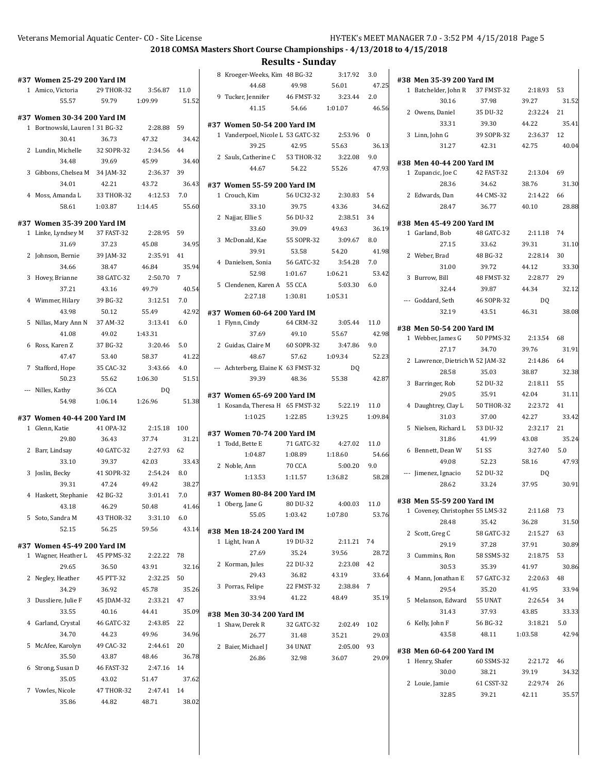| #37 Women 25-29 200 Yard IM     |            |            |         | 8 Kroeger-Weeks, Kim 48 BG-32       |            | 3:17.92    | 3.0      | #38 Men 35   |
|---------------------------------|------------|------------|---------|-------------------------------------|------------|------------|----------|--------------|
| 1 Amico, Victoria               | 29 THOR-32 | 3:56.87    | 11.0    | 44.68                               | 49.98      | 56.01      | 47.25    | 1 Batcheld   |
| 55.57                           | 59.79      | 1:09.99    | 51.52   | 9 Tucker, Jennifer                  | 46 FMST-32 | 3:23.44    | 2.0      |              |
|                                 |            |            |         | 41.15                               | 54.66      | 1:01.07    | 46.56    | 2 Owens, D   |
| #37 Women 30-34 200 Yard IM     |            |            |         |                                     |            |            |          |              |
| 1 Bortnowski, Lauren 1 31 BG-32 |            | 2:28.88    | 59      | #37 Women 50-54 200 Yard IM         |            |            |          |              |
| 30.41                           | 36.73      | 47.32      | 34.42   | 1 Vanderpoel, Nicole L 53 GATC-32   |            | 2:53.96    | $\bf{0}$ | 3 Linn, Johi |
| 2 Lundin, Michelle              | 32 SOPR-32 | 2:34.56    | 44      | 39.25                               | 42.95      | 55.63      | 36.13    |              |
| 34.48                           | 39.69      | 45.99      | 34.40   | 2 Sauls, Catherine C                | 53 THOR-32 | 3:22.08    | 9.0      | #38 Men 40   |
| 3 Gibbons, Chelsea M 34 JAM-32  |            | 2:36.37    | 39      | 44.67                               | 54.22      | 55.26      | 47.93    | 1 Zupancic   |
| 34.01                           | 42.21      | 43.72      | 36.43   | #37 Women 55-59 200 Yard IM         |            |            |          |              |
| 4 Moss, Amanda L                | 33 THOR-32 | 4:12.53    | 7.0     | 1 Crouch, Kim                       | 56 UC32-32 | 2:30.83    | 54       | 2 Edwards,   |
| 58.61                           | 1:03.87    | 1:14.45    | 55.60   | 33.10                               | 39.75      | 43.36      | 34.62    |              |
|                                 |            |            |         |                                     |            |            |          |              |
| #37 Women 35-39 200 Yard IM     |            |            |         | 2 Najjar, Ellie S                   | 56 DU-32   | 2:38.51    | 34       | #38 Men 45   |
| 1 Linke, Lyndsey M              | 37 FAST-32 | 2:28.95    | 59      | 33.60                               | 39.09      | 49.63      | 36.19    | 1 Garland,   |
| 31.69                           | 37.23      | 45.08      | 34.95   | 3 McDonald, Kae                     | 55 SOPR-32 | 3:09.67    | 8.0      |              |
| 2 Johnson, Bernie               | 39 JAM-32  | 2:35.91    | 41      | 39.91                               | 53.58      | 54.20      | 41.98    | 2 Weber, Bı  |
| 34.66                           | 38.47      | 46.84      | 35.94   | 4 Danielsen, Sonia                  | 56 GATC-32 | 3:54.28    | 7.0      |              |
| 3 Hovey, Brianne                | 38 GATC-32 | 2:50.70    | 7       | 52.98                               | 1:01.67    | 1:06.21    | 53.42    | 3 Burrow, I  |
| 37.21                           | 43.16      | 49.79      | 40.54   | 5 Clendenen, Karen A 55 CCA         |            | 5:03.30    | 6.0      |              |
|                                 |            | 3:12.51    |         | 2:27.18                             | 1:30.81    | 1:05.31    |          |              |
| 4 Wimmer, Hilary                | 39 BG-32   |            | 7.0     |                                     |            |            |          | --- Goddard, |
| 43.98                           | 50.12      | 55.49      | 42.92   | #37 Women 60-64 200 Yard IM         |            |            |          |              |
| 5 Nillas, Mary Ann N            | 37 AM-32   | 3:13.41    | 6.0     | 1 Flynn, Cindy                      | 64 CRM-32  | 3:05.44    | 11.0     | #38 Men 50   |
| 41.08                           | 49.02      | 1:43.31    |         | 37.69                               | 49.10      | 55.67      | 42.98    | 1 Webber, J  |
| 6 Ross, Karen Z                 | 37 BG-32   | 3:20.46    | $5.0\,$ | 2 Guidas, Claire M                  | 60 SOPR-32 | 3:47.86    | 9.0      |              |
| 47.47                           | 53.40      | 58.37      | 41.22   | 48.67                               | 57.62      | 1:09.34    | 52.23    | 2 Lawrence   |
| 7 Stafford, Hope                | 35 CAC-32  | 3:43.66    | 4.0     | --- Achterberg, Elaine K 63 FMST-32 |            | DQ         |          |              |
| 50.23                           | 55.62      | 1:06.30    | 51.51   | 39.39                               | 48.36      | 55.38      | 42.87    | 3 Barringer  |
| --- Nilles, Kathy               | 36 CCA     | DQ         |         |                                     |            |            |          |              |
| 54.98                           | 1:06.14    | 1:26.96    | 51.38   | #37 Women 65-69 200 Yard IM         |            |            |          |              |
|                                 |            |            |         | 1 Kosanda, Theresa H 65 FMST-32     |            | 5:22.19    | 11.0     | 4 Daughtre   |
| #37 Women 40-44 200 Yard IM     |            |            |         | 1:10.25                             | 1:22.85    | 1:39.25    | 1:09.84  |              |
| 1 Glenn, Katie                  | 41 OPA-32  | 2:15.18    | 100     | #37 Women 70-74 200 Yard IM         |            |            |          | 5 Nielsen, I |
| 29.80                           | 36.43      | 37.74      | 31.21   | 1 Todd, Bette E                     | 71 GATC-32 | 4.27.02    | 11.0     |              |
| 2 Barr, Lindsay                 | 40 GATC-32 | 2:27.93    | 62      | 1:04.87                             | 1:08.89    | 1:18.60    | 54.66    | 6 Bennett,   |
| 33.10                           | 39.37      | 42.03      | 33.43   | 2 Noble, Ann                        | 70 CCA     | 5:00.20    | 9.0      |              |
| 3 Joslin, Becky                 | 41 SOPR-32 | 2:54.24    | 8.0     | 1:13.53                             | 1:11.57    | 1:36.82    | 58.28    | --- Jimenez, |
| 39.31                           | 47.24      | 49.42      | 38.27   |                                     |            |            |          |              |
| 4 Haskett, Stephanie            | 42 BG-32   | 3:01.41    | 7.0     | #37 Women 80-84 200 Yard IM         |            |            |          |              |
| 43.18                           | 46.29      | 50.48      | 41.46   | 1 Oberg, Jane G                     | 80 DU-32   | 4:00.03    | 11.0     | #38 Men 55.  |
| 5 Soto, Sandra M                | 43 THOR-32 | 3:31.10    | 6.0     | 55.05                               | 1:03.42    | 1:07.80    | 53.76    | 1 Coveney,   |
| 52.15                           | 56.25      | 59.56      | 43.14   |                                     |            |            |          |              |
|                                 |            |            |         | #38 Men 18-24 200 Yard IM           |            |            |          | 2 Scott, Gre |
| #37 Women 45-49 200 Yard IM     |            |            |         | 1 Light, Ivan A                     | 19 DU-32   | 2:11.21 74 |          |              |
| 1 Wagner, Heather L             | 45 PPMS-32 | 2:22.22 78 |         | 27.69                               | 35.24      | 39.56      | 28.72    | 3 Cummins    |
| 29.65                           | 36.50      | 43.91      | 32.16   | 2 Korman, Jules                     | 22 DU-32   | 2:23.08    | 42       |              |
| 2 Negley, Heather               | 45 PTT-32  | 2:32.25 50 |         | 29.43                               | 36.82      | 43.19      | 33.64    | 4 Mann, Jor  |
| 34.29                           | 36.92      | 45.78      | 35.26   | 3 Porras, Felipe                    | 22 FMST-32 | 2:38.84 7  |          |              |
| 3 Dussliere, Julie F            | 45 JDAM-32 | 2:33.21 47 |         | 33.94                               | 41.22      | 48.49      | 35.19    | 5 Melansor   |
| 33.55                           | 40.16      | 44.41      | 35.09   |                                     |            |            |          |              |
|                                 |            |            |         | #38 Men 30-34 200 Yard IM           |            |            |          |              |
| 4 Garland, Crystal              | 46 GATC-32 | 2:43.85    | -22     | 1 Shaw, Derek R                     | 32 GATC-32 | 2:02.49    | 102      | 6 Kelly, Joh |
| 34.70                           | 44.23      | 49.96      | 34.96   | 26.77                               | 31.48      | 35.21      | 29.03    |              |
| 5 McAfee, Karolyn               | 49 CAC-32  | 2:44.61    | 20      | 2 Baier, Michael J                  | 34 UNAT    | 2:05.00    | 93       | #38 Men 60   |
| 35.50                           | 43.87      | 48.46      | 36.78   | 26.86                               | 32.98      | 36.07      | 29.09    | 1 Henry, Sh  |
| 6 Strong, Susan D               | 46 FAST-32 | 2:47.16 14 |         |                                     |            |            |          |              |
| 35.05                           | 43.02      | 51.47      | 37.62   |                                     |            |            |          | 2 Louie, Jar |
| 7 Vowles, Nicole                | 47 THOR-32 | 2:47.41 14 |         |                                     |            |            |          |              |
| 35.86                           | 44.82      | 48.71      | 38.02   |                                     |            |            |          |              |
|                                 |            |            |         |                                     |            |            |          |              |

| #38 Men 35-39 200 Yard IM        |            |         |       |
|----------------------------------|------------|---------|-------|
| 1 Batchelder, John R             | 37 FMST-32 | 2:18.93 | 53    |
| 30.16                            | 37.98      | 39.27   | 31.52 |
|                                  |            |         |       |
| 2 Owens, Daniel                  | 35 DU-32   | 2:32.24 | 21    |
| 33.31                            | 39.30      | 44.22   | 35.41 |
| 3 Linn, John G                   | 39 SOPR-32 | 2:36.37 | 12    |
| 31.27                            | 42.31      | 42.75   | 40.04 |
| #38 Men 40-44 200 Yard IM        |            |         |       |
| 1 Zupancic, Joe C                | 42 FAST-32 | 2:13.04 | 69    |
| 28.36                            | 34.62      | 38.76   | 31.30 |
| 2 Edwards, Dan                   | 44 CMS-32  | 2:14.22 | 66    |
| 28.47                            | 36.77      | 40.10   | 28.88 |
|                                  |            |         |       |
| #38 Men 45-49 200 Yard IM        |            |         |       |
| 1 Garland, Bob                   | 48 GATC-32 | 2:11.18 | 74    |
| 27.15                            | 33.62      | 39.31   | 31.10 |
| 2 Weber, Brad                    | 48 BG-32   | 2:28.14 | 30    |
| 31.00                            | 39.72      | 44.12   | 33.30 |
| 3 Burrow, Bill                   | 48 FMST-32 | 2:28.77 | 29    |
| 32.44                            | 39.87      | 44.34   | 32.12 |
| --- Goddard, Seth                | 46 SOPR-32 | DQ      |       |
| 32.19                            | 43.51      | 46.31   | 38.08 |
| #38 Men 50-54 200 Yard IM        |            |         |       |
| 1 Webber, James G 50 PPMS-32     |            | 2:13.54 | 68    |
| 27.17                            | 34.70      | 39.76   | 31.91 |
| 2 Lawrence, Dietrich V 52 JAM-32 |            | 2:14.86 | 64    |
| 28.58                            | 35.03      | 38.87   | 32.38 |
| 3 Barringer, Rob                 | 52 DU-32   | 2:18.11 | 55    |
| 29.05                            | 35.91      | 42.04   | 31.11 |
| 4 Daughtrey, Clay L              | 50 THOR-32 | 2:23.72 | 41    |
| 31.03                            | 37.00      | 42.27   | 33.42 |
| 5 Nielsen, Richard L             | 53 DU-32   | 2:32.17 | 21    |
| 31.86                            | 41.99      | 43.08   | 35.24 |
| 6 Bennett, Dean W                | 51 SS      | 3:27.40 | 5.0   |
| 49.08                            | 52.23      | 58.16   | 47.93 |
|                                  | 52 DU-32   | DQ      |       |
| --- Jimenez, Ignacio<br>28.62    | 33.24      | 37.95   | 30.91 |
|                                  |            |         |       |
| #38 Men 55-59 200 Yard IM        |            |         |       |
| 1 Coveney, Christopher 55 LMS-32 |            | 2:11.68 | 73    |
| 28.48                            | 35.42      | 36.28   | 31.50 |
| 2 Scott, Greg C                  | 58 GATC-32 | 2:15.27 | 63    |
| 29.19                            | 37.28      | 37.91   | 30.89 |
| 3 Cummins, Ron                   | 58 SSMS-32 | 2:18.75 | 53    |
| 30.53                            | 35.39      | 41.97   | 30.86 |
| 4 Mann, Jonathan E 57 GATC-32    |            | 2:20.63 | 48    |
| 29.54                            | 35.20      | 41.95   | 33.94 |
| 5 Melanson, Edward 55 UNAT       |            | 2:26.54 | 34    |
| 31.43                            | 37.93      | 43.85   | 33.33 |
| 6 Kelly, John F                  | 56 BG-32   | 3:18.21 | 5.0   |
| 43.58                            | 48.11      | 1:03.58 | 42.94 |
| #38 Men 60-64 200 Yard IM        |            |         |       |
| 1 Henry, Shafer                  | 60 SSMS-32 | 2:21.72 | 46    |
| 30.00                            | 38.21      | 39.19   | 34.32 |
| 2 Louie, Jamie                   | 61 CSST-32 | 2:29.74 | 26    |
| 32.85                            | 39.21      | 42.11   | 35.57 |
|                                  |            |         |       |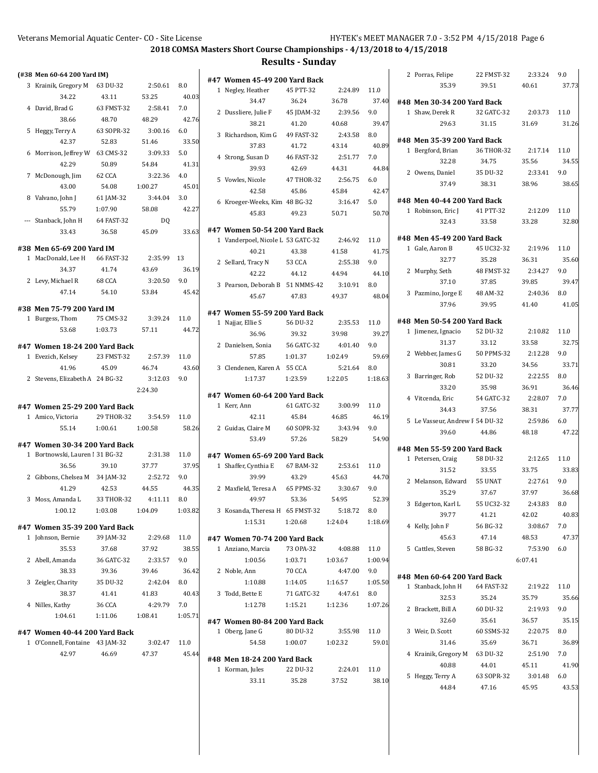| (#38 Men 60-64 200 Yard IM)              |            |             |               |                                                    |            |              |         | 2 Porras, Felipe                               | 22 FMST-32 | 2:33.24      | 9.0   |
|------------------------------------------|------------|-------------|---------------|----------------------------------------------------|------------|--------------|---------|------------------------------------------------|------------|--------------|-------|
| 3 Krainik, Gregory M 63 DU-32            |            | 2:50.61 8.0 |               | #47 Women 45-49 200 Yard Back<br>1 Negley, Heather | 45 PTT-32  | 2:24.89      | 11.0    | 35.39                                          | 39.51      | 40.61        | 37.73 |
| 34.22                                    | 43.11      | 53.25       | 40.03         | 34.47                                              | 36.24      | 36.78        | 37.40   |                                                |            |              |       |
| 4 David, Brad G                          | 63 FMST-32 | 2:58.41     | 7.0           | 2 Dussliere, Julie F                               | 45 JDAM-32 | 2:39.56      | 9.0     | #48 Men 30-34 200 Yard Back<br>1 Shaw, Derek R | 32 GATC-32 | 2:03.73      | 11.0  |
| 38.66                                    | 48.70      | 48.29       | 42.76         | 38.21                                              | 41.20      | 40.68        | 39.47   | 29.63                                          | 31.15      | 31.69        | 31.26 |
| 5 Heggy, Terry A                         | 63 SOPR-32 | 3:00.16     | 6.0           |                                                    | 49 FAST-32 | 2:43.58      | 8.0     |                                                |            |              |       |
| 42.37                                    | 52.83      | 51.46       | 33.50         | 3 Richardson, Kim G                                | 41.72      |              | 40.89   | #48 Men 35-39 200 Yard Back                    |            |              |       |
| 6 Morrison, Jeffrey W                    | 63 CMS-32  | 3:09.33     | 5.0           | 37.83                                              |            | 43.14        |         | 1 Bergford, Brian                              | 36 THOR-32 | 2:17.14      | 11.0  |
| 42.29                                    | 50.89      | 54.84       | 41.31         | 4 Strong, Susan D                                  | 46 FAST-32 | 2:51.77      | 7.0     | 32.28                                          | 34.75      | 35.56        | 34.55 |
| 7 McDonough, Jim                         | 62 CCA     | 3:22.36     | 4.0           | 39.93                                              | 42.69      | 44.31        | 44.84   | 2 Owens, Daniel                                | 35 DU-32   | 2:33.41      | 9.0   |
| 43.00                                    | 54.08      | 1:00.27     | 45.01         | 5 Vowles, Nicole                                   | 47 THOR-32 | 2:56.75      | 6.0     | 37.49                                          | 38.31      | 38.96        | 38.65 |
| 8 Valvano, John J                        | 61 JAM-32  | 3:44.04     | 3.0           | 42.58                                              | 45.86      | 45.84        | 42.47   | #48 Men 40-44 200 Yard Back                    |            |              |       |
| 55.79                                    | 1:07.90    | 58.08       | 42.27         | 6 Kroeger-Weeks, Kim 48 BG-32                      |            | 3:16.47      | 5.0     | 1 Robinson, Eric J                             | 41 PTT-32  | 2:12.09      | 11.0  |
| --- Stanback, John H                     | 64 FAST-32 | DQ          |               | 45.83                                              | 49.23      | 50.71        | 50.70   | 32.43                                          | 33.58      | 33.28        | 32.80 |
| 33.43                                    | 36.58      | 45.09       | 33.63         | #47 Women 50-54 200 Yard Back                      |            |              |         |                                                |            |              |       |
|                                          |            |             |               | 1 Vanderpoel, Nicole L 53 GATC-32                  |            | 2:46.92      | 11.0    | #48 Men 45-49 200 Yard Back                    |            |              |       |
| #38 Men 65-69 200 Yard IM                |            |             |               | 40.21                                              | 43.38      | 41.58        | 41.75   | 1 Gale, Aaron B                                | 45 UC32-32 | 2:19.96      | 11.0  |
| 1 MacDonald, Lee H                       | 66 FAST-32 | 2:35.99 13  |               | 2 Sellard, Tracy N                                 | 53 CCA     | 2:55.38      | 9.0     | 32.77                                          | 35.28      | 36.31        | 35.60 |
| 34.37                                    | 41.74      | 43.69       | 36.19         | 42.22                                              | 44.12      | 44.94        | 44.10   | 2 Murphy, Seth                                 | 48 FMST-32 | 2:34.27      | 9.0   |
| 2 Levy, Michael R                        | 68 CCA     | 3:20.50     | 9.0           | 3 Pearson, Deborah B 51 NMMS-42                    |            | 3:10.91      | 8.0     | 37.10                                          | 37.85      | 39.85        | 39.47 |
| 47.14                                    | 54.10      | 53.84       | 45.42         | 45.67                                              | 47.83      | 49.37        | 48.04   | 3 Pazmino, Jorge E                             | 48 AM-32   | 2:40.36      | 8.0   |
| #38 Men 75-79 200 Yard IM                |            |             |               |                                                    |            |              |         | 37.96                                          | 39.95      | 41.40        | 41.05 |
| 1 Burgess, Thom                          | 75 CMS-32  | 3:39.24     | 11.0          | #47 Women 55-59 200 Yard Back                      | 56 DU-32   | 2:35.53      |         | #48 Men 50-54 200 Yard Back                    |            |              |       |
| 53.68                                    | 1:03.73    | 57.11       | 44.72         | 1 Najjar, Ellie S                                  |            |              | 11.0    | 1 Jimenez, Ignacio                             | 52 DU-32   | 2:10.82      | 11.0  |
|                                          |            |             |               | 36.96                                              | 39.32      | 39.98        | 39.27   | 31.37                                          | 33.12      | 33.58        | 32.75 |
| #47 Women 18-24 200 Yard Back            |            |             |               | 2 Danielsen, Sonia                                 | 56 GATC-32 | 4:01.40      | 9.0     | 2 Webber, James G                              | 50 PPMS-32 | 2:12.28      | 9.0   |
| 1 Evezich, Kelsey                        | 23 FMST-32 | 2:57.39     | 11.0          | 57.85                                              | 1:01.37    | 1:02.49      | 59.69   | 30.81                                          | 33.20      | 34.56        | 33.71 |
| 41.96                                    | 45.09      | 46.74       | 43.60         | 3 Clendenen, Karen A 55 CCA                        |            | 5:21.64      | 8.0     | 3 Barringer, Rob                               | 52 DU-32   | 2:22.55      | 8.0   |
| 2 Stevens, Elizabeth A 24 BG-32          |            | 3:12.03     | 9.0           | 1:17.37                                            | 1:23.59    | 1:22.05      | 1:18.63 | 33.20                                          | 35.98      | 36.91        | 36.46 |
|                                          |            | 2:24.30     |               | #47 Women 60-64 200 Yard Back                      |            |              |         | 4 Vitcenda, Eric                               | 54 GATC-32 | 2:28.07      | 7.0   |
| #47 Women 25-29 200 Yard Back            |            |             |               | 1 Kerr, Ann                                        | 61 GATC-32 | 3:00.99      | 11.0    | 34.43                                          | 37.56      | 38.31        | 37.77 |
| 1 Amico, Victoria                        | 29 THOR-32 | 3:54.59     | 11.0          | 42.11                                              | 45.84      | 46.85        | 46.19   | 5 Le Vasseur, Andrew F 54 DU-32                |            | 2:59.86      | 6.0   |
| 55.14                                    | 1:00.61    | 1:00.58     | 58.26         | 2 Guidas, Claire M                                 | 60 SOPR-32 | 3:43.94      | 9.0     | 39.60                                          | 44.86      | 48.18        | 47.22 |
|                                          |            |             |               | 53.49                                              | 57.26      | 58.29        | 54.90   |                                                |            |              |       |
| #47 Women 30-34 200 Yard Back            |            | 2:31.38     |               |                                                    |            |              |         | #48 Men 55-59 200 Yard Back                    |            |              |       |
| 1 Bortnowski, Lauren 1 31 BG-32<br>36.56 | 39.10      | 37.77       | 11.0<br>37.95 | #47 Women 65-69 200 Yard Back                      | 67 BAM-32  |              |         | 1 Petersen, Craig                              | 58 DU-32   | 2:12.65      | 11.0  |
|                                          |            |             |               | 1 Shaffer, Cynthia E                               |            | 2:53.61 11.0 |         | 31.52                                          | 33.55      | 33.75        | 33.83 |
| 2 Gibbons, Chelsea M 34 JAM-32           |            | 2:52.72     | 9.0           | 39.99                                              | 43.29      | 45.63        | 44.70   | 2 Melanson, Edward                             | 55 UNAT    | 2:27.61      | 9.0   |
| 41.29                                    | 42.53      | 44.55       | 44.35         | 2 Maxfield, Teresa A                               | 65 PPMS-32 | 3:30.67      | 9.0     | 35.29                                          | 37.67      | 37.97        | 36.68 |
| 3 Moss, Amanda L                         | 33 THOR-32 | 4:11.11 8.0 |               | 49.97                                              | 53.36      | 54.95        | 52.39   | 3 Edgerton, Karl L                             | 55 UC32-32 | 2:43.83      | 8.0   |
| 1:00.12                                  | 1:03.08    | 1:04.09     | 1:03.82       | 3 Kosanda, Theresa H 65 FMST-32                    |            | 5:18.72      | 8.0     | 39.77                                          | 41.21      | 42.02        | 40.83 |
| #47 Women 35-39 200 Yard Back            |            |             |               | 1:15.31                                            | 1:20.68    | 1:24.04      | 1:18.69 | 4 Kelly, John F                                | 56 BG-32   | 3:08.67      | 7.0   |
| 1 Johnson, Bernie                        | 39 JAM-32  | 2:29.68     | 11.0          | #47 Women 70-74 200 Yard Back                      |            |              |         | 45.63                                          | 47.14      | 48.53        | 47.37 |
| 35.53                                    | 37.68      | 37.92       | 38.55         | 1 Anziano, Marcia                                  | 73 OPA-32  | 4:08.88      | 11.0    | 5 Cattles, Steven                              | 58 BG-32   | 7:53.90      | 6.0   |
| 2 Abell, Amanda                          | 36 GATC-32 | 2:33.57     | 9.0           | 1:00.56                                            | 1:03.71    | 1:03.67      | 1:00.94 |                                                |            | 6:07.41      |       |
| 38.33                                    | 39.36      | 39.46       | 36.42         | 2 Noble, Ann                                       | 70 CCA     | 4:47.00      | 9.0     |                                                |            |              |       |
| 3 Zeigler, Charity                       | 35 DU-32   | 2:42.04     | 8.0           | 1:10.88                                            | 1:14.05    | 1:16.57      | 1:05.50 | #48 Men 60-64 200 Yard Back                    |            |              |       |
| 38.37                                    | 41.41      | 41.83       | 40.43         | 3 Todd, Bette E                                    | 71 GATC-32 | 4:47.61      | 8.0     | 1 Stanback, John H                             | 64 FAST-32 | 2:19.22 11.0 |       |
| 4 Nilles, Kathy                          | 36 CCA     | 4:29.79     | 7.0           | 1:12.78                                            | 1:15.21    | 1:12.36      | 1:07.26 | 32.53                                          | 35.24      | 35.79        | 35.66 |
| 1:04.61                                  | 1:11.06    | 1:08.41     | 1:05.71       |                                                    |            |              |         | 2 Brackett, Bill A                             | 60 DU-32   | 2:19.93      | 9.0   |
|                                          |            |             |               | #47 Women 80-84 200 Yard Back                      |            |              |         | 32.60                                          | 35.61      | 36.57        | 35.15 |
| #47 Women 40-44 200 Yard Back            |            |             |               | 1 Oberg, Jane G                                    | 80 DU-32   | 3:55.98      | 11.0    | 3 Weir, D. Scott                               | 60 SSMS-32 | 2:20.75      | 8.0   |
| 1 O'Connell, Fontaine 43 JAM-32          |            | 3:02.47     | 11.0          | 54.58                                              | 1:00.07    | 1:02.32      | 59.01   | 31.46                                          | 35.69      | 36.71        | 36.89 |
| 42.97                                    | 46.69      | 47.37       | 45.44         | #48 Men 18-24 200 Yard Back                        |            |              |         | 4 Krainik, Gregory M                           | 63 DU-32   | 2:51.90      | 7.0   |
|                                          |            |             |               | 1 Korman, Jules                                    | 22 DU-32   | 2:24.01      | 11.0    | 40.88                                          | 44.01      | 45.11        | 41.90 |
|                                          |            |             |               | 33.11                                              | 35.28      | 37.52        | 38.10   | 5 Heggy, Terry A                               | 63 SOPR-32 | 3:01.48      | 6.0   |
|                                          |            |             |               |                                                    |            |              |         | 44.84                                          | 47.16      | 45.95        | 43.53 |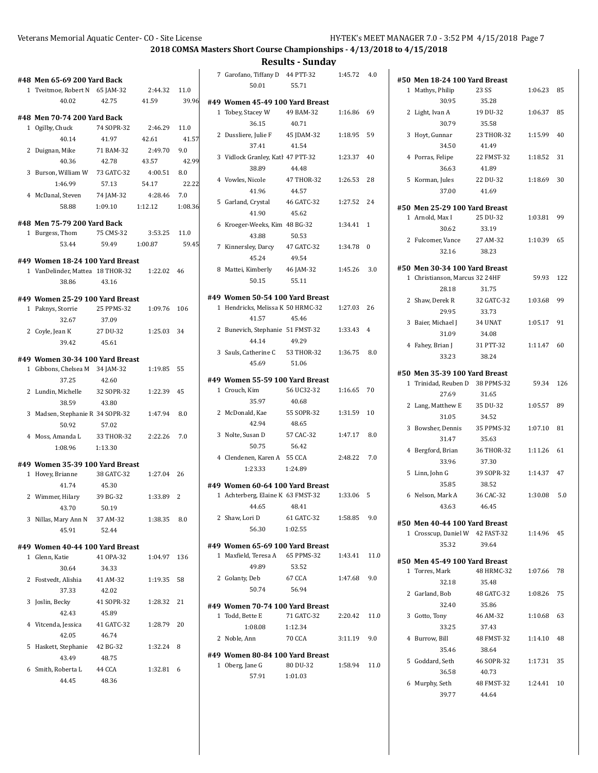|                                                   |                     |             |         |                                           | Resuits - Sunday |            |                |
|---------------------------------------------------|---------------------|-------------|---------|-------------------------------------------|------------------|------------|----------------|
| #48 Men 65-69 200 Yard Back                       |                     |             |         | 7 Garofano, Tiffany D                     | 44 PTT-32        | 1:45.72    | 4.0            |
| 1 Tveitmoe, Robert N 65 JAM-32                    |                     | 2:44.32     | 11.0    | 50.01                                     | 55.71            |            |                |
| 40.02                                             | 42.75               | 41.59       | 39.96   | #49 Women 45-49 100 Yard Breast           |                  |            |                |
|                                                   |                     |             |         | 1 Tobey, Stacey W                         | 49 BAM-32        | 1:16.86 69 |                |
| #48 Men 70-74 200 Yard Back                       |                     |             |         | 36.15                                     | 40.71            |            |                |
| 1 Ogilby, Chuck                                   | 74 SOPR-32          | 2:46.29     | 11.0    | 2 Dussliere, Julie F                      | 45 JDAM-32       | 1:18.95    | 59             |
| 40.14                                             | 41.97               | 42.61       | 41.57   | 37.41                                     | 41.54            |            |                |
| 2 Duignan, Mike                                   | 71 BAM-32           | 2:49.70     | 9.0     | 3 Vidlock Granley, Katl 47 PTT-32         |                  | 1:23.37    | 40             |
| 40.36                                             | 42.78               | 43.57       | 42.99   | 38.89                                     | 44.48            |            |                |
| 3 Burson, William W                               | 73 GATC-32          | 4:00.51     | 8.0     | 4 Vowles, Nicole                          | 47 THOR-32       | 1:26.53    | 28             |
| 1:46.99                                           | 57.13               | 54.17       | 22.22   | 41.96                                     | 44.57            |            |                |
| 4 McDanal, Steven                                 | 74 JAM-32           | 4:28.46     | 7.0     | 5 Garland, Crystal                        | 46 GATC-32       | 1:27.52    | -24            |
| 58.88                                             | 1:09.10             | 1:12.12     | 1:08.36 | 41.90                                     | 45.62            |            |                |
| #48 Men 75-79 200 Yard Back                       |                     |             |         | 6 Kroeger-Weeks, Kim 48 BG-32             |                  | 1:34.41    | - 1            |
| 1 Burgess, Thom                                   | 75 CMS-32           | 3:53.25     | 11.0    | 43.88                                     | 50.53            |            |                |
| 53.44                                             | 59.49               | 1:00.87     | 59.45   | 7 Kinnersley, Darcy                       | 47 GATC-32       | 1:34.78 0  |                |
| #49 Women 18-24 100 Yard Breast                   |                     |             |         | 45.24                                     | 49.54            |            |                |
| 1 VanDelinder, Mattea 18 THOR-32                  |                     | 1:22.02 46  |         | 8 Mattei, Kimberly                        | 46 JAM-32        | 1:45.26    | 3.0            |
| 38.86                                             | 43.16               |             |         | 50.15                                     | 55.11            |            |                |
|                                                   |                     |             |         |                                           |                  |            |                |
| #49 Women 25-29 100 Yard Breast                   |                     |             |         | #49 Women 50-54 100 Yard Breast           |                  |            |                |
| 1 Paknys, Storrie                                 | 25 PPMS-32          | 1:09.76     | - 106   | 1 Hendricks, Melissa K 50 HRMC-32         |                  | 1:27.03    | -26            |
| 32.67                                             | 37.09               |             |         | 41.57                                     | 45.46            |            |                |
| 2 Coyle, Jean K                                   | 27 DU-32            | 1:25.03 34  |         | 2 Bunevich, Stephanie 51 FMST-32<br>44.14 |                  | 1:33.43    | $\overline{4}$ |
| 39.42                                             | 45.61               |             |         |                                           | 49.29            |            |                |
| #49 Women 30-34 100 Yard Breast                   |                     |             |         | 3 Sauls, Catherine C                      | 53 THOR-32       | 1:36.75    | 8.0            |
| 1 Gibbons, Chelsea M 34 JAM-32                    |                     | 1:19.85 55  |         | 45.69                                     | 51.06            |            |                |
| 37.25                                             | 42.60               |             |         | #49 Women 55-59 100 Yard Breast           |                  |            |                |
| 2 Lundin, Michelle                                | 32 SOPR-32          | 1:22.39 45  |         | 1 Crouch, Kim                             | 56 UC32-32       | 1:16.65    | 70             |
| 38.59                                             | 43.80               |             |         | 35.97                                     | 40.68            |            |                |
| 3 Madsen, Stephanie R 34 SOPR-32                  |                     | 1:47.94     | 8.0     | 2 McDonald, Kae                           | 55 SOPR-32       | 1:31.59    | 10             |
| 50.92                                             | 57.02               |             |         | 42.94                                     | 48.65            |            |                |
| 4 Moss, Amanda L                                  | 33 THOR-32          | 2:22.26     | 7.0     | 3 Nolte, Susan D                          | 57 CAC-32        | 1:47.17    | 8.0            |
| 1:08.96                                           | 1:13.30             |             |         | 50.75                                     | 56.42            |            |                |
| #49 Women 35-39 100 Yard Breast                   |                     |             |         | 4 Clendenen, Karen A 55 CCA               |                  | 2:48.22    | 7.0            |
| 1 Hovey, Brianne                                  | 38 GATC-32          | 1:27.04 26  |         | 1:23.33                                   | 1:24.89          |            |                |
| 41.74                                             | 45.30               |             |         | #49 Women 60-64 100 Yard Breast           |                  |            |                |
| 2 Wimmer, Hilary                                  | 39 BG-32            | 1:33.89 2   |         | 1 Achterberg, Elaine K 63 FMST-32         |                  | 1:33.06    | - 5            |
| 43.70                                             | 50.19               |             |         | 44.65                                     | 48.41            |            |                |
| 3 Nillas, Mary Ann N                              | 37 AM-32            | 1:38.35     | 8.0     | 2 Shaw, Lori D                            | 61 GATC-32       | 1:58.85    | 9.0            |
| 45.91                                             | 52.44               |             |         | 56.30                                     | 1:02.55          |            |                |
|                                                   |                     |             |         | #49 Women 65-69 100 Yard Breast           |                  |            |                |
| #49 Women 40-44 100 Yard Breast<br>1 Glenn, Katie | 41 OPA-32           |             |         | 1 Maxfield, Teresa A                      | 65 PPMS-32       | 1:43.41    | 11.0           |
| 30.64                                             |                     | 1:04.97 136 |         | 49.89                                     | 53.52            |            |                |
| 2 Fostvedt, Alishia                               | 34.33               |             |         | 2 Golanty, Deb                            | 67 CCA           | 1:47.68    | 9.0            |
| 37.33                                             | 41 AM-32            | 1:19.35 58  |         | 50.74                                     | 56.94            |            |                |
|                                                   | 42.02               |             |         |                                           |                  |            |                |
| 3 Joslin, Becky<br>42.43                          | 41 SOPR-32<br>45.89 | 1:28.32 21  |         | #49 Women 70-74 100 Yard Breast           |                  |            |                |
| 4 Vitcenda, Jessica                               | 41 GATC-32          | 1:28.79 20  |         | 1 Todd, Bette E                           | 71 GATC-32       | 2:20.42    | 11.0           |
| 42.05                                             | 46.74               |             |         | 1:08.08                                   | 1:12.34          |            |                |
|                                                   | 42 BG-32            |             |         | 2 Noble, Ann                              | 70 CCA           | 3:11.19    | 9.0            |
| 5 Haskett, Stephanie<br>43.49                     | 48.75               | 1:32.24 8   |         | #49 Women 80-84 100 Yard Breast           |                  |            |                |
| 6 Smith, Roberta L                                |                     |             |         | 1 Oberg, Jane G                           | 80 DU-32         | 1:58.94    | 11.0           |
|                                                   | 44 CCA              | 1:32.81 6   |         | 57.91                                     | 1:01.03          |            |                |
| 44.45                                             | 48.36               |             |         |                                           |                  |            |                |

|   | #50 Men 18-24 100 Yard Breast                                   |                     |            |     |
|---|-----------------------------------------------------------------|---------------------|------------|-----|
| 1 | Mathys, Philip                                                  | 23 SS               | 1:06.23    | 85  |
|   | 30.95                                                           | 35.28               |            |     |
| 2 | Light, Ivan A                                                   | 19 DU-32            | 1:06.37    | 85  |
|   | 30.79                                                           | 35.58               |            |     |
| 3 | Hoyt, Gunnar                                                    | 23 THOR-32          | 1:15.99    | 40  |
|   | 34.50                                                           | 41.49               |            |     |
|   | 4 Porras, Felipe                                                | 22 FMST-32<br>41.89 | 1:18.52    | 31  |
| 5 | 36.63<br>Korman, Jules                                          | 22 DU-32            | 1:18.69    | 30  |
|   | 37.00                                                           | 41.69               |            |     |
|   |                                                                 |                     |            |     |
|   | #50 Men 25-29 100 Yard Breast<br>1 Arnold, Max I                | 25 DU-32            | 1:03.81    | 99  |
|   | 30.62                                                           | 33.19               |            |     |
| 2 | Fulcomer, Vance                                                 | 27 AM-32            | 1:10.39    | 65  |
|   | 32.16                                                           | 38.23               |            |     |
|   |                                                                 |                     |            |     |
|   | #50 Men 30-34 100 Yard Breast<br>1 Christianson, Marcus 32 24HF |                     | 59.93      | 122 |
|   | 28.18                                                           | 31.75               |            |     |
|   | 2 Shaw, Derek R                                                 | 32 GATC-32          | 1:03.68    | 99  |
|   | 29.95                                                           | 33.73               |            |     |
| 3 | Baier, Michael J                                                | 34 UNAT             | 1:05.17    | 91  |
|   | 31.09                                                           | 34.08               |            |     |
| 4 | Fahey, Brian J                                                  | 31 PTT-32           | 1:11.47    | 60  |
|   | 33.23                                                           | 38.24               |            |     |
|   | #50 Men 35-39 100 Yard Breast                                   |                     |            |     |
|   | 1 Trinidad, Reuben D 38 PPMS-32                                 |                     | 59.34      | 126 |
|   | 27.69                                                           | 31.65               |            |     |
|   | 2 Lang, Matthew E                                               | 35 DU-32            | 1:05.57    | 89  |
|   | 31.05                                                           | 34.52               |            |     |
| 3 | Bowsher, Dennis                                                 | 35 PPMS-32          | 1:07.10    | 81  |
|   | 31.47                                                           | 35.63               |            |     |
|   | 4 Bergford, Brian<br>33.96                                      | 36 THOR-32<br>37.30 | 1:11.26    | 61  |
| 5 | Linn, John G                                                    | 39 SOPR-32          | 1:14.37    | 47  |
|   | 35.85                                                           | 38.52               |            |     |
| 6 | Nelson, Mark A                                                  | 36 CAC-32           | 1:30.08    | 5.0 |
|   | 43.63                                                           | 46.45               |            |     |
|   | #50 Men 40-44 100 Yard Breast                                   |                     |            |     |
|   | 1 Crosscup, Daniel W 42 FAST-32                                 |                     | 1:14.96 45 |     |
|   | 35.32                                                           | 39.64               |            |     |
|   | #50 Men 45-49 100 Yard Breast                                   |                     |            |     |
|   | 1 Torres, Mark                                                  | 48 HRMC-32          | 1:07.66    | 78  |
|   | 32.18                                                           | 35.48               |            |     |
|   | 2 Garland, Bob                                                  | 48 GATC-32          | 1:08.26    | 75  |
|   | 32.40                                                           | 35.86               |            |     |
|   | 3 Gotto, Tony                                                   | 46 AM-32            | 1:10.68    | 63  |
|   | 33.25                                                           | 37.43               |            |     |
| 4 | Burrow, Bill                                                    | 48 FMST-32          | 1:14.10    | 48  |
|   | 35.46                                                           | 38.64               |            |     |
| 5 | Goddard, Seth                                                   | 46 SOPR-32          | 1:17.31    | 35  |
|   | 36.58                                                           | 40.73               |            |     |
| 6 | Murphy, Seth                                                    | 48 FMST-32          | 1:24.41    | 10  |
|   | 39.77                                                           | 44.64               |            |     |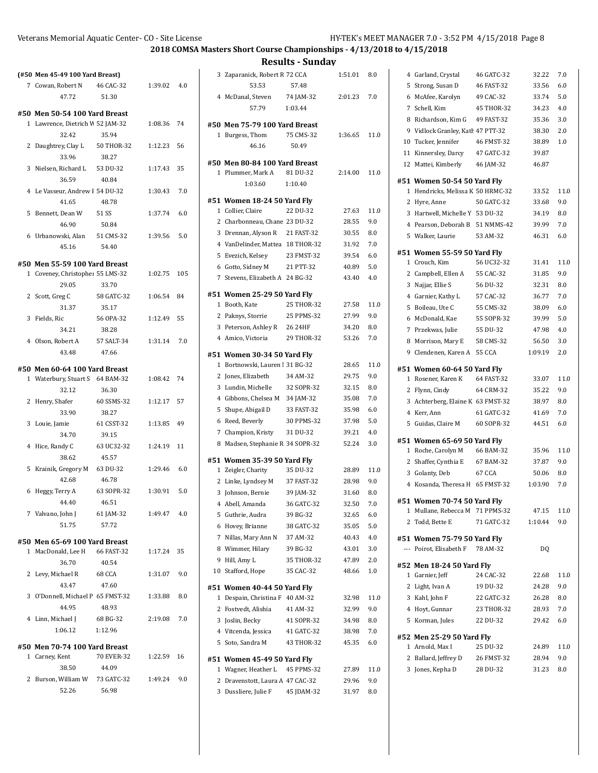**Results - Sunday** Zaparanick, Robert R 72 CCA 1:51.01 8.0

| (#50 Men 45-49 100 Yard Breast)   |            |             |     |
|-----------------------------------|------------|-------------|-----|
| 7 Cowan, Robert N 46 CAC-32       |            | 1:39.02     | 4.0 |
| 47.72                             | 51.30      |             |     |
|                                   |            |             |     |
| #50 Men 50-54 100 Yard Breast     |            |             |     |
| 1 Lawrence, Dietrich V 52 JAM-32  |            | 1:08.36     | 74  |
| 32.42                             | 35.94      |             |     |
| 2 Daughtrey, Clay L 50 THOR-32    |            | 1:12.23     | 56  |
| 33.96                             | 38.27      |             |     |
| 3 Nielsen, Richard L 53 DU-32     |            | 1:17.43     | 35  |
| 36.59                             | 40.84      |             |     |
| 4 Le Vasseur, Andrew I 54 DU-32   |            | 1:30.43     | 7.0 |
| 41.65                             | 48.78      |             |     |
| 5 Bennett, Dean W 51 SS           |            | 1:37.74     | 6.0 |
| 46.90                             | 50.84      |             |     |
| 6 Urbanowski, Alan 51 CMS-32      |            | 1:39.56     | 5.0 |
| 45.16                             | 54.40      |             |     |
| #50 Men 55-59 100 Yard Breast     |            |             |     |
| 1 Coveney, Christopheı 55 LMS-32  |            | 1:02.75 105 |     |
| 29.05                             | 33.70      |             |     |
| 2 Scott, Greg C                   | 58 GATC-32 | 1:06.54     | 84  |
| 31.37                             | 35.17      |             |     |
| 3 Fields, Ric                     | 56 OPA-32  | 1:12.49     | 55  |
| 34.21                             | 38.28      |             |     |
| 4 Olson, Robert A 57 SALT-34      |            | 1:31.14     | 7.0 |
| 43.48                             | 47.66      |             |     |
|                                   |            |             |     |
| #50 Men 60-64 100 Yard Breast     |            |             |     |
| 1 Waterbury, Stuart S 64 BAM-32   |            | 1:08.42     | 74  |
| 32.12                             | 36.30      |             |     |
| 2 Henry, Shafer                   | 60 SSMS-32 | 1:12.17     | 57  |
| 33.90                             | 38.27      |             |     |
| 3 Louie, Jamie                    | 61 CSST-32 | 1:13.85     | 49  |
| 34.70                             | 39.15      |             |     |
| 4 Hice, Randy C 63 UC32-32        |            | 1:24.19     | 11  |
| 38.62                             | 45.57      |             |     |
| 5 Krainik, Gregory M 63 DU-32     |            | 1:29.46     | 6.0 |
| 42.68                             | 46.78      |             |     |
| 6 Heggy, Terry A 63 SOPR-32       |            | 1:30.91     | 5.0 |
| 44.40                             | 46.51      |             |     |
| 7 Valvano, John J                 | 61 JAM-32  | 1:49.47     | 4.0 |
| 51.75                             | 57.72      |             |     |
| #50 Men 65-69 100 Yard Breast     |            |             |     |
| 1 MacDonald, Lee H 66 FAST-32     |            | 1:17.24     | 35  |
| 36.70                             | 40.54      |             |     |
| 2 Levy, Michael R 68 CCA          |            | 1:31.07     | 9.0 |
| 43.47                             | 47.60      |             |     |
| 3 O'Donnell, Michael P 65 FMST-32 |            | 1:33.88     | 8.0 |
| 44.95                             | 48.93      |             |     |
| 4 Linn, Michael J                 | 68 BG-32   | 2:19.08     | 7.0 |
| 1:06.12                           | 1:12.96    |             |     |
| #50 Men 70-74 100 Yard Breast     |            |             |     |
| 1 Carney, Kent                    | 70 EVER-32 | 1:22.59     | 16  |
| 38.50                             | 44.09      |             |     |
| 2 Burson, William W 73 GATC-32    |            | 1:49.24     | 9.0 |
| 52.26                             | 56.98      |             |     |
|                                   |            |             |     |

|              | 53.53                            | 57.48      |         |      |
|--------------|----------------------------------|------------|---------|------|
|              | 4 McDanal, Steven                | 74 JAM-32  | 2:01.23 | 7.0  |
|              | 57.79                            | 1:03.44    |         |      |
|              |                                  |            |         |      |
|              | #50 Men 75-79 100 Yard Breast    |            |         |      |
|              | 1 Burgess, Thom                  | 75 CMS-32  | 1:36.65 | 11.0 |
|              | 46.16                            | 50.49      |         |      |
|              | #50 Men 80-84 100 Yard Breast    |            |         |      |
|              | 1 Plummer, Mark A                | 81 DU-32   | 2:14.00 | 11.0 |
|              | 1:03.60                          | 1:10.40    |         |      |
|              |                                  |            |         |      |
|              | #51 Women 18-24 50 Yard Fly      |            |         |      |
|              | 1 Collier, Claire                | 22 DU-32   | 27.63   | 11.0 |
|              | 2 Charbonneau, Chane 23 DU-32    |            | 28.55   | 9.0  |
| 3            | Drennan, Alyson R                | 21 FAST-32 | 30.55   | 8.0  |
|              | 4 VanDelinder, Mattea 18 THOR-32 |            | 31.92   | 7.0  |
|              | 5 Evezich, Kelsey                | 23 FMST-32 | 39.54   | 6.0  |
|              | 6 Gotto, Sidney M                | 21 PTT-32  | 40.89   | 5.0  |
| 7            | Stevens, Elizabeth A 24 BG-32    |            | 43.40   | 4.0  |
|              | #51 Women 25-29 50 Yard Fly      |            |         |      |
|              | 1 Booth, Kate                    | 25 THOR-32 | 27.58   | 11.0 |
|              | 2 Paknys, Storrie                | 25 PPMS-32 | 27.99   | 9.0  |
|              | 3 Peterson, Ashley R             | 26 24HF    | 34.20   | 8.0  |
|              | 4 Amico, Victoria                | 29 THOR-32 | 53.26   | 7.0  |
|              |                                  |            |         |      |
|              | #51 Women 30-34 50 Yard Fly      |            |         |      |
| 1            | Bortnowski, Lauren 1 31 BG-32    |            | 28.65   | 11.0 |
|              | 2 Jones, Elizabeth               | 34 AM-32   | 29.75   | 9.0  |
|              | 3 Lundin, Michelle               | 32 SOPR-32 | 32.15   | 8.0  |
|              | 4 Gibbons, Chelsea M             | 34 JAM-32  | 35.08   | 7.0  |
|              | 5 Shupe, Abigail D               | 33 FAST-32 | 35.98   | 6.0  |
|              | 6 Reed, Beverly                  | 30 PPMS-32 | 37.98   | 5.0  |
|              | 7 Champion, Kristy               | 31 DU-32   | 39.21   | 4.0  |
|              | 8 Madsen, Stephanie R 34 SOPR-32 |            | 52.24   | 3.0  |
|              | #51 Women 35-39 50 Yard Fly      |            |         |      |
|              | 1 Zeigler, Charity               | 35 DU-32   | 28.89   | 11.0 |
|              | 2 Linke, Lyndsey M               | 37 FAST-32 | 28.98   | 9.0  |
|              | 3 Johnson, Bernie                | 39 JAM-32  | 31.60   | 8.0  |
|              | 4 Abell, Amanda                  | 36 GATC-32 | 32.50   | 7.0  |
|              | 5 Guthrie, Audra                 | 39 BG-32   | 32.65   | 6.0  |
|              | 6 Hovey, Brianne                 | 38 GATC-32 | 35.05   | 5.0  |
| 7            | Nillas, Mary Ann N               | 37 AM-32   | 40.43   | 4.0  |
|              | 8 Wimmer, Hilary                 | 39 BG-32   | 43.01   | 3.0  |
|              | 9 Hill, Amy L                    | 35 THOR-32 | 47.89   | 2.0  |
| 10           | Stafford, Hope                   | 35 CAC-32  | 48.66   | 1.0  |
|              |                                  |            |         |      |
|              | #51 Women 40-44 50 Yard Fly      |            |         |      |
| $\mathbf{1}$ | Despain, Christina F 40 AM-32    |            | 32.98   | 11.0 |
|              | 2 Fostvedt, Alishia              | 41 AM-32   | 32.99   | 9.0  |
| 3            | Joslin, Becky                    | 41 SOPR-32 | 34.98   | 8.0  |
|              | 4 Vitcenda, Jessica              | 41 GATC-32 | 38.98   | 7.0  |
|              | 5 Soto, Sandra M                 | 43 THOR-32 | 45.35   | 6.0  |
|              | #51 Women 45-49 50 Yard Fly      |            |         |      |
| 1            | Wagner, Heather L                | 45 PPMS-32 | 27.89   | 11.0 |
| 2            | Dravenstott, Laura A 47 CAC-32   |            | 29.96   | 9.0  |
|              | 3 Dussliere, Julie F             | 45 JDAM-32 | 31.97   | 8.0  |
|              |                                  |            |         |      |

| 4            | Garland, Crystal                                               | 46 GATC-32 | 32.22   | 7.0       |
|--------------|----------------------------------------------------------------|------------|---------|-----------|
| 5            | Strong, Susan D                                                | 46 FAST-32 | 33.56   | 6.0       |
| 6            | McAfee, Karolyn                                                | 49 CAC-32  | 33.74   | 5.0       |
| 7            | Schell, Kim                                                    | 45 THOR-32 | 34.23   | 4.0       |
| 8            | Richardson, Kim G                                              | 49 FAST-32 | 35.36   | 3.0       |
| 9            | Vidlock Granley, Katl 47 PTT-32                                |            | 38.30   | 2.0       |
| 10           | Tucker, Jennifer                                               | 46 FMST-32 | 38.89   | 1.0       |
| 11           | Kinnersley, Darcy                                              | 47 GATC-32 | 39.87   |           |
| 12           | Mattei, Kimberly                                               | 46 JAM-32  | 46.87   |           |
|              |                                                                |            |         |           |
| 1            | #51 Women 50-54 50 Yard Fly<br>Hendricks, Melissa K 50 HRMC-32 |            | 33.52   | 11.0      |
| 2            | Hyre, Anne                                                     | 50 GATC-32 | 33.68   | 9.0       |
| 3            | Hartwell, Michelle Y                                           | 53 DU-32   | 34.19   | 8.0       |
|              |                                                                | 51 NMMS-42 |         | 7.0       |
|              | 4 Pearson, Deborah B                                           |            | 39.99   |           |
| 5            | Walker, Laurie                                                 | 53 AM-32   | 46.31   | 6.0       |
| #51          | Women 55-59 50 Yard Fly                                        |            |         |           |
| 1            | Crouch, Kim                                                    | 56 UC32-32 | 31.41   | 11.0      |
| 2            | Campbell, Ellen A                                              | 55 CAC-32  | 31.85   | 9.0       |
| 3            | Najjar, Ellie S                                                | 56 DU-32   | 32.31   | 8.0       |
|              | 4 Garnier, Kathy L                                             | 57 CAC-32  | 36.77   | 7.0       |
| 5            | Boileau, Ute C                                                 | 55 CMS-32  | 38.09   | 6.0       |
| 6            | McDonald, Kae                                                  | 55 SOPR-32 | 39.99   | 5.0       |
| 7            | Przekwas, Julie                                                | 55 DU-32   | 47.98   | 4.0       |
| 8            | Morrison, Mary E                                               | 58 CMS-32  | 56.50   | 3.0       |
| 9            | Clendenen, Karen A                                             | 55 CCA     | 1:09.19 | 2.0       |
|              | #51 Women 60-64 50 Yard Fly                                    |            |         |           |
| 1            | Rosener, Karen K                                               | 64 FAST-32 | 33.07   | 11.0      |
| 2            | Flynn, Cindy                                                   | 64 CRM-32  | 35.22   | 9.0       |
|              | 3 Achterberg, Elaine K 63 FMST-32                              |            | 38.97   | 8.0       |
|              | 4 Kerr, Ann                                                    | 61 GATC-32 | 41.69   | 7.0       |
| 5            | Guidas, Claire M                                               | 60 SOPR-32 | 44.51   | 6.0       |
|              |                                                                |            |         |           |
|              |                                                                |            |         |           |
|              | #51 Women 65-69 50 Yard Fly                                    |            |         |           |
| $\mathbf{1}$ | Roche, Carolyn M                                               | 66 BAM-32  | 35.96   | 11.0      |
| 2            | Shaffer, Cynthia E                                             | 67 BAM-32  | 37.87   | 9.0       |
| 3            | Golanty, Deb                                                   | 67 CCA     | 50.06   | $_{8.0}$  |
| 4            | Kosanda, Theresa H                                             | 65 FMST-32 | 1:03.90 | 7.0       |
|              | #51 Women 70-74 50 Yard Fly                                    |            |         |           |
| $\mathbf{1}$ |                                                                | 71 PPMS-32 | 47.15   | 11.0      |
| 2            | Mullane, Rebecca M<br>Todd, Bette E                            | 71 GATC-32 | 1:10.44 | 9.0       |
|              |                                                                |            |         |           |
|              | #51  Women 75-79 50 Yard Fly                                   |            |         |           |
|              | --- Poirot, Elisabeth F                                        | 78 AM-32   | DQ      |           |
|              | #52 Men 18-24 50 Yard Fly                                      |            |         |           |
|              | 1 Garnier, Jeff                                                | 24 CAC-32  | 22.68   | 11.0      |
|              | 2 Light, Ivan A                                                | 19 DU-32   | 24.28   | 9.0       |
|              | 3 Kahl, John F                                                 | 22 GATC-32 | 26.28   | 8.0       |
|              | 4 Hoyt, Gunnar                                                 | 23 THOR-32 | 28.93   | 7.0       |
|              | 5 Korman, Jules                                                | 22 DU-32   | 29.42   | 6.0       |
|              |                                                                |            |         |           |
|              | #52 Men 25-29 50 Yard Fly<br>1 Arnold, Max I                   | 25 DU-32   | 24.89   | 11.0      |
|              | 2 Ballard, Jeffrey D                                           | 26 FMST-32 | 28.94   | 9.0       |
|              | 3 Jones, Kepha D                                               | 28 DU-32   | 31.23   | $\rm 8.0$ |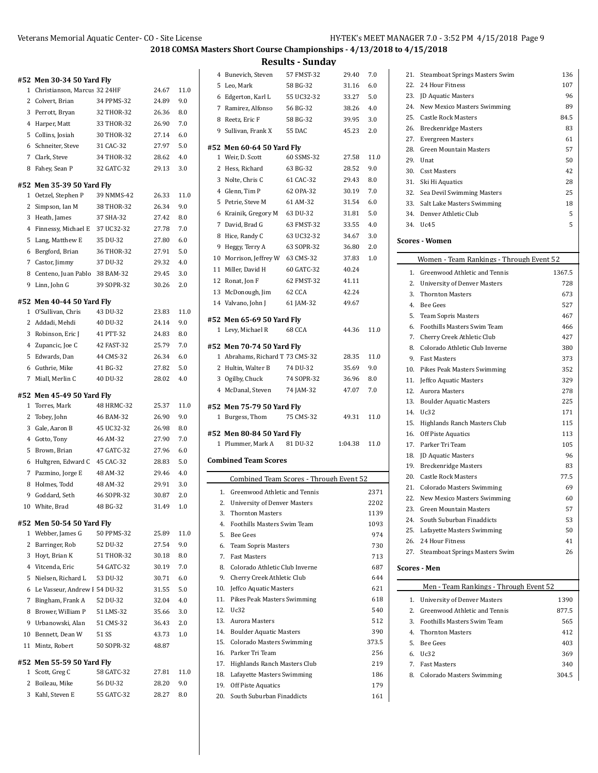**Results - Sunday**

|             | #52 Men 30-34 50 Yard Fly                        |                        |                |             |
|-------------|--------------------------------------------------|------------------------|----------------|-------------|
| $\mathbf 1$ | Christianson, Marcus 32 24HF                     |                        | 24.67          | 11.0        |
| 2           | Colvert, Brian                                   | 34 PPMS-32             | 24.89          | 9.0         |
|             | 3 Perrott, Bryan                                 | 32 THOR-32             | 26.36          | 8.0         |
| 4           | Harper, Matt                                     | 33 THOR-32             | 26.90          | 7.0         |
| 5.          | Collins, Josiah                                  | 30 THOR-32             | 27.14          | 6.0         |
| 6           | Schneiter, Steve                                 | 31 CAC-32              | 27.97          | 5.0         |
|             | 7 Clark, Steve                                   | 34 THOR-32             | 28.62          | 4.0         |
| 8           | Fahey, Sean P                                    | 32 GATC-32             | 29.13          | 3.0         |
|             | #52 Men 35-39 50 Yard Fly                        |                        |                |             |
| 1           | Oetzel, Stephen P                                | 39 NMMS-42             | 26.33          | 11.0        |
|             | 2 Simpson, Ian M                                 | 38 THOR-32             | 26.34          | 9.0         |
|             | 3 Heath, James                                   | 37 SHA-32              | 27.42          | 8.0         |
| 4           | Finnessy, Michael E                              | 37 UC32-32             | 27.78          | 7.0         |
| 5           | Lang, Matthew E                                  | 35 DU-32               | 27.80          | 6.0         |
| 6           | Bergford, Brian                                  | 36 THOR-32             | 27.91          | 5.0         |
|             | 7 Castor, Jimmy                                  | 37 DU-32               | 29.32          | 4.0         |
| 8           | Centeno, Juan Pablo                              | 38 BAM-32              | 29.45          | 3.0         |
| 9           | Linn, John G                                     | 39 SOPR-32             | 30.26          | 2.0         |
|             |                                                  |                        |                |             |
|             | #52 Men 40-44 50 Yard Fly<br>1 O'Sullivan, Chris | 43 DU-32               | 23.83          | 11.0        |
|             | 2 Addadi, Mehdi                                  | 40 DU-32               | 24.14          | 9.0         |
| 3           | Robinson, Eric J                                 | 41 PTT-32              | 24.83          | 8.0         |
|             | 4 Zupancic, Joe C                                | 42 FAST-32             | 25.79          | 7.0         |
| 5           | Edwards, Dan                                     | 44 CMS-32              | 26.34          | 6.0         |
|             | 6 Guthrie, Mike                                  | 41 BG-32               | 27.82          | 5.0         |
| 7           | Miall, Merlin C                                  |                        | 28.02          | 4.0         |
|             |                                                  |                        |                |             |
|             |                                                  | 40 DU-32               |                |             |
|             | #52 Men 45-49 50 Yard Fly                        |                        |                |             |
| 1           | Torres, Mark                                     | 48 HRMC-32             | 25.37          | 11.0        |
|             | 2 Tobey, John                                    | 46 BAM-32              | 26.90          | 9.0         |
| 3           | Gale, Aaron B                                    | 45 UC32-32             | 26.98          | 8.0         |
| 4           | Gotto, Tony                                      | 46 AM-32               | 27.90          | 7.0         |
| 5           | Brown, Brian                                     | 47 GATC-32             | 27.96          | 6.0         |
| 6           | Hultgren, Edward C                               | 45 CAC-32              | 28.83          | 5.0         |
| 7           | Pazmino, Jorge E                                 | 48 AM-32               | 29.46          | 4.0         |
| 8           | Holmes, Todd                                     | 48 AM-32               | 29.91          | 3.0         |
| 9           | Goddard, Seth                                    | 46 SOPR-32             | 30.87          | 2.0         |
|             | 10 White, Brad                                   | 48 BG-32               | 31.49          | 1.0         |
|             | #52 Men 50-54 50 Yard Fly                        |                        |                |             |
| 1           | Webber, James G                                  | 50 PPMS-32             | 25.89          | 11.0        |
|             | 2 Barringer, Rob                                 | 52 DU-32               | 27.54          | 9.0         |
|             | 3 Hoyt, Brian K                                  | 51 THOR-32             | 30.18          | 8.0         |
|             | 4 Vitcenda, Eric                                 | 54 GATC-32             | 30.19          | 7.0         |
| 5           | Nielsen, Richard L                               | 53 DU-32               | 30.71          | 6.0         |
| 6           | Le Vasseur, Andrew I 54 DU-32                    |                        | 31.55          | 5.0         |
|             | 7 Bingham, Frank A                               | 52 DU-32               | 32.04          | 4.0         |
| 8           | Brower, William P                                | 51 LMS-32              | 35.66          | 3.0         |
| 9           | Urbanowski, Alan                                 | 51 CMS-32              | 36.43          | 2.0         |
|             | 10 Bennett, Dean W                               | 51 SS                  | 43.73          | 1.0         |
| 11          | Mintz, Robert                                    | 50 SOPR-32             | 48.87          |             |
|             |                                                  |                        |                |             |
|             | #52 Men 55-59 50 Yard Fly                        |                        |                |             |
| 1           | Scott, Greg C<br>2 Boileau, Mike                 | 58 GATC-32<br>56 DU-32 | 27.81<br>28.20 | 11.0<br>9.0 |

| 4                         | Bunevich, Steven                               | 57 FMST-32 | 29.40   | 7.0        |
|---------------------------|------------------------------------------------|------------|---------|------------|
| 5                         | Leo, Mark                                      | 58 BG-32   | 31.16   | 6.0        |
| 6                         | Edgerton, Karl L                               | 55 UC32-32 | 33.27   | 5.0        |
|                           | 7 Ramirez, Alfonso                             | 56 BG-32   | 38.26   | 4.0        |
|                           | 8 Reetz, Eric F                                | 58 BG-32   | 39.95   | 3.0        |
| 9                         | Sullivan, Frank X                              | 55 DAC     | 45.23   | 2.0        |
|                           | #52 Men 60-64 50 Yard Fly                      |            |         |            |
| 1                         | Weir, D. Scott                                 | 60 SSMS-32 | 27.58   | 11.0       |
| 2                         | Hess, Richard                                  | 63 BG-32   | 28.52   | 9.0        |
| 3                         | Nolte, Chris C                                 | 61 CAC-32  | 29.43   | 8.0        |
| 4                         | Glenn, Tim P                                   | 62 OPA-32  | 30.19   | 7.0        |
| 5                         | Petrie, Steve M                                | 61 AM-32   | 31.54   | 6.0        |
| 6                         | Krainik, Gregory M                             | 63 DU-32   | 31.81   | 5.0        |
| 7                         | David, Brad G                                  | 63 FMST-32 | 33.55   | 4.0        |
| 8                         | Hice, Randy C                                  | 63 UC32-32 | 34.67   | 3.0        |
| 9                         | Heggy, Terry A                                 | 63 SOPR-32 | 36.80   | 2.0        |
| 10                        | Morrison, Jeffrey W 63 CMS-32                  |            | 37.83   | 1.0        |
|                           | 11 Miller, David H                             | 60 GATC-32 | 40.24   |            |
|                           | 12 Ronat, Jon F                                | 62 FMST-32 | 41.11   |            |
|                           | 13 McDonough, Jim                              | 62 CCA     | 42.24   |            |
|                           | 14 Valvano, John J                             | 61 JAM-32  | 49.67   |            |
|                           | #52 Men 65-69 50 Yard Fly                      |            |         |            |
|                           | 1 Levy, Michael R                              | 68 CCA     | 44.36   | 11.0       |
|                           |                                                |            |         |            |
|                           | #52 Men 70-74 50 Yard Fly                      |            |         |            |
|                           | 1 Abrahams, Richard T 73 CMS-32                |            | 28.35   | 11.0       |
| 2                         | Hultin, Walter B                               | 74 DU-32   | 35.69   | 9.0        |
|                           | 3 Ogilby, Chuck                                | 74 SOPR-32 | 36.96   | 8.0        |
|                           | 4 McDanal, Steven                              | 74 JAM-32  | 47.07   | 7.0        |
| #52 Men 75-79 50 Yard Fly |                                                |            |         |            |
|                           |                                                |            |         |            |
|                           | 1 Burgess, Thom                                | 75 CMS-32  | 49.31   | 11.0       |
|                           | #52 Men 80-84 50 Yard Fly                      |            |         |            |
| $\mathbf{1}$              | Plummer, Mark A                                | 81 DU-32   | 1:04.38 | 11.0       |
|                           | <b>Combined Team Scores</b>                    |            |         |            |
|                           |                                                |            |         |            |
|                           | <b>Combined Team Scores - Through Event 52</b> |            |         |            |
|                           | 1.<br>Greenwood Athletic and Tennis            |            |         | 2371       |
| 2.                        | <b>University of Denver Masters</b>            |            |         | 2202       |
|                           | 3.<br><b>Thornton Masters</b>                  |            |         | 1139       |
|                           | 4.<br>Foothills Masters Swim Team              |            |         | 1093       |
|                           | 5.<br><b>Bee Gees</b>                          |            |         | 974        |
|                           | 6.<br><b>Team Sopris Masters</b>               |            |         | 730        |
|                           | 7.<br><b>Fast Masters</b>                      |            |         | 713        |
| 8.                        | Colorado Athletic Club Inverne                 |            |         | 687        |
|                           | Cherry Creek Athletic Club<br>9.               |            |         | 644        |
| 10.<br>11.                | Jeffco Aquatic Masters                         |            |         | 621<br>618 |
| 12.                       | Pikes Peak Masters Swimming<br>Uc32            |            |         | 540        |
| 13.                       | Aurora Masters                                 |            |         | 512        |
| 14.                       | <b>Boulder Aquatic Masters</b>                 |            |         | 390        |
| 15.                       | <b>Colorado Masters Swimming</b>               |            |         | 373.5      |
| 16.                       | Parker Tri Team                                |            |         | 256        |
| 17.                       | Highlands Ranch Masters Club                   |            |         | 219        |
|                           | 18. Lafayette Masters Swimming                 |            |         | 186        |
|                           | 19. Off Piste Aquatics                         |            |         | 179        |
|                           | 20. South Suburban Finaddicts                  |            |         | 161        |

| 21.        | <b>Steamboat Springs Masters Swim</b>                                  | 136      |
|------------|------------------------------------------------------------------------|----------|
| 22.        | 24 Hour Fitness                                                        | 107      |
| 23.        | JD Aquatic Masters                                                     | 96       |
| 24.        | New Mexico Masters Swimming                                            | 89       |
| 25.        | <b>Castle Rock Masters</b>                                             | 84.5     |
| 26.        | <b>Breckenridge Masters</b>                                            | 83       |
| 27.        | <b>Evergreen Masters</b>                                               | 61       |
| 28.        | <b>Green Mountain Masters</b>                                          | 57       |
| 29.        | Unat                                                                   | 50       |
| 30.        | <b>Csst Masters</b>                                                    | 42       |
| 31.        | Ski Hi Aquatics                                                        | 28       |
| 32.        | Sea Devil Swimming Masters                                             | 25       |
| 33.        | Salt Lake Masters Swimming                                             | 18       |
| 34.        | Denver Athletic Club                                                   | 5        |
| 34.        | Uc45                                                                   | 5        |
|            |                                                                        |          |
|            | <b>Scores - Women</b>                                                  |          |
|            | Women - Team Rankings - Through Event 52                               |          |
| 1.         | Greenwood Athletic and Tennis                                          | 1367.5   |
| 2.         | <b>University of Denver Masters</b>                                    | 728      |
| 3.         | <b>Thornton Masters</b>                                                | 673      |
| 4.         | <b>Bee Gees</b>                                                        | 527      |
| 5.         | <b>Team Sopris Masters</b>                                             | 467      |
| 6.         | Foothills Masters Swim Team                                            | 466      |
| 7.         | Cherry Creek Athletic Club                                             | 427      |
| 8.         | Colorado Athletic Club Inverne                                         | 380      |
| 9.         | <b>Fast Masters</b>                                                    | 373      |
| 10.        | Pikes Peak Masters Swimming                                            | 352      |
| 11.        | Jeffco Aquatic Masters                                                 | 329      |
| 12.        | <b>Aurora Masters</b>                                                  | 278      |
| 13.        | <b>Boulder Aquatic Masters</b>                                         | 225      |
| 14.        | Uc32                                                                   | 171      |
| 15.        |                                                                        | 115      |
| 16.        | Highlands Ranch Masters Club<br>Off Piste Aquatics                     | 113      |
| 17.        | Parker Tri Team                                                        | 105      |
| 18.        | JD Aquatic Masters                                                     | 96       |
| 19.        |                                                                        | 83       |
| 20.        | <b>Breckenridge Masters</b><br><b>Castle Rock Masters</b>              | 77.5     |
| 21.        |                                                                        | 69       |
| 22.        | <b>Colorado Masters Swimming</b><br><b>New Mexico Masters Swimming</b> | 60       |
|            |                                                                        |          |
| 23.<br>24. | Green Mountain Masters<br>South Suburban Finaddicts                    | 57<br>53 |
| 25.        | Lafayette Masters Swimming                                             | 50       |
| 26.        | 24 Hour Fitness                                                        | 41       |
| 27.        |                                                                        | 26       |
|            | Steamboat Springs Masters Swim                                         |          |
|            | Scores - Men                                                           |          |
|            | Men - Team Rankings - Through Event 52                                 |          |
|            |                                                                        |          |
| 1.         | <b>University of Denver Masters</b>                                    | 1390     |
| 2.         | Greenwood Athletic and Tennis                                          | 877.5    |
| 3.         | Foothills Masters Swim Team                                            | 565      |
| 4.         | <b>Thornton Masters</b>                                                | 412      |
| 5.         | <b>Bee Gees</b>                                                        | 403      |
| 6.         | Uc32                                                                   | 369      |
| 7.         | <b>Fast Masters</b>                                                    | 340      |

8. Colorado Masters Swimming 304.5